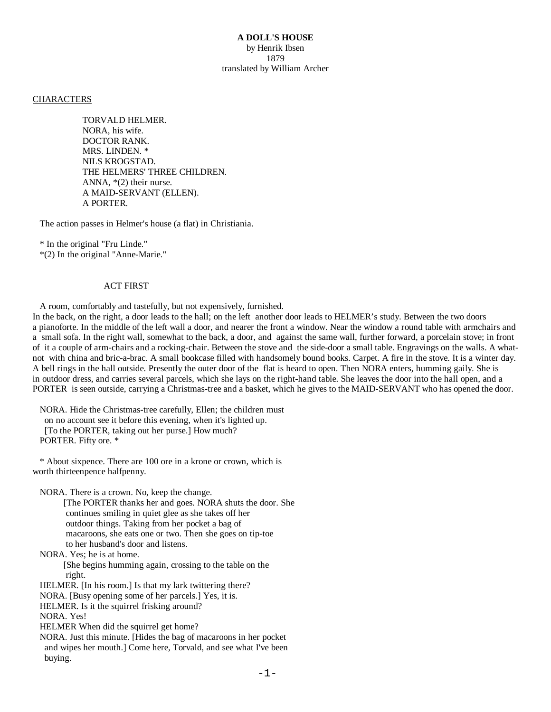## **CHARACTERS**

 TORVALD HELMER. NORA, his wife. DOCTOR RANK. MRS. LINDEN. \* NILS KROGSTAD. THE HELMERS' THREE CHILDREN. ANNA, \*(2) their nurse. A MAID-SERVANT (ELLEN). A PORTER.

The action passes in Helmer's house (a flat) in Christiania.

 \* In the original "Fru Linde." \*(2) In the original "Anne-Marie."

#### ACT FIRST

A room, comfortably and tastefully, but not expensively, furnished.

In the back, on the right, a door leads to the hall; on the left another door leads to HELMER's study. Between the two doors a pianoforte. In the middle of the left wall a door, and nearer the front a window. Near the window a round table with armchairs and a small sofa. In the right wall, somewhat to the back, a door, and against the same wall, further forward, a porcelain stove; in front of it a couple of arm-chairs and a rocking-chair. Between the stove and the side-door a small table. Engravings on the walls. A whatnot with china and bric-a-brac. A small bookcase filled with handsomely bound books. Carpet. A fire in the stove. It is a winter day. A bell rings in the hall outside. Presently the outer door of the flat is heard to open. Then NORA enters, humming gaily. She is in outdoor dress, and carries several parcels, which she lays on the right-hand table. She leaves the door into the hall open, and a PORTER is seen outside, carrying a Christmas-tree and a basket, which he gives to the MAID-SERVANT who has opened the door.

 NORA. Hide the Christmas-tree carefully, Ellen; the children must on no account see it before this evening, when it's lighted up. [To the PORTER, taking out her purse.] How much? PORTER. Fifty ore. \*

 \* About sixpence. There are 100 ore in a krone or crown, which is worth thirteenpence halfpenny.

NORA. There is a crown. No, keep the change.

 [The PORTER thanks her and goes. NORA shuts the door. She continues smiling in quiet glee as she takes off her outdoor things. Taking from her pocket a bag of macaroons, she eats one or two. Then she goes on tip-toe to her husband's door and listens.

NORA. Yes; he is at home.

 [She begins humming again, crossing to the table on the right.

HELMER. [In his room.] Is that my lark twittering there?

NORA. [Busy opening some of her parcels.] Yes, it is.

HELMER. Is it the squirrel frisking around?

NORA. Yes!

HELMER When did the squirrel get home?

 NORA. Just this minute. [Hides the bag of macaroons in her pocket and wipes her mouth.] Come here, Torvald, and see what I've been buying.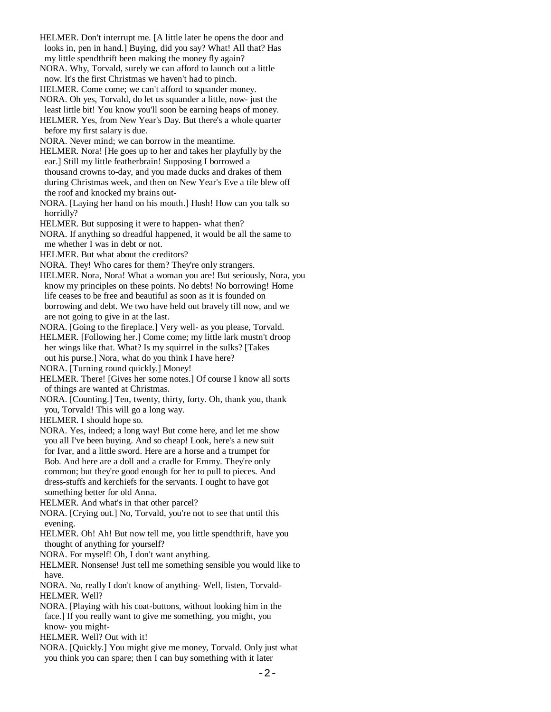- HELMER. Don't interrupt me. [A little later he opens the door and looks in, pen in hand.] Buying, did you say? What! All that? Has my little spendthrift been making the money fly again?
- NORA. Why, Torvald, surely we can afford to launch out a little now. It's the first Christmas we haven't had to pinch.
- HELMER. Come come; we can't afford to squander money.
- NORA. Oh yes, Torvald, do let us squander a little, now- just the least little bit! You know you'll soon be earning heaps of money.
- HELMER. Yes, from New Year's Day. But there's a whole quarter before my first salary is due.
- NORA. Never mind; we can borrow in the meantime.
- HELMER. Nora! [He goes up to her and takes her playfully by the ear.] Still my little featherbrain! Supposing I borrowed a thousand crowns to-day, and you made ducks and drakes of them during Christmas week, and then on New Year's Eve a tile blew off the roof and knocked my brains out-
- NORA. [Laying her hand on his mouth.] Hush! How can you talk so horridly?
- HELMER. But supposing it were to happen- what then?
- NORA. If anything so dreadful happened, it would be all the same to me whether I was in debt or not.
- HELMER. But what about the creditors?
- NORA. They! Who cares for them? They're only strangers.
- HELMER. Nora, Nora! What a woman you are! But seriously, Nora, you know my principles on these points. No debts! No borrowing! Home life ceases to be free and beautiful as soon as it is founded on borrowing and debt. We two have held out bravely till now, and we are not going to give in at the last.
- NORA. [Going to the fireplace.] Very well- as you please, Torvald.
- HELMER. [Following her.] Come come; my little lark mustn't droop her wings like that. What? Is my squirrel in the sulks? [Takes
- out his purse.] Nora, what do you think I have here?
- NORA. [Turning round quickly.] Money!
- HELMER. There! [Gives her some notes.] Of course I know all sorts of things are wanted at Christmas.
- NORA. [Counting.] Ten, twenty, thirty, forty. Oh, thank you, thank you, Torvald! This will go a long way.
- HELMER. I should hope so.
- NORA. Yes, indeed; a long way! But come here, and let me show you all I've been buying. And so cheap! Look, here's a new suit for Ivar, and a little sword. Here are a horse and a trumpet for Bob. And here are a doll and a cradle for Emmy. They're only common; but they're good enough for her to pull to pieces. And dress-stuffs and kerchiefs for the servants. I ought to have got something better for old Anna.
- HELMER. And what's in that other parcel?
- NORA. [Crying out.] No, Torvald, you're not to see that until this evening.
- HELMER. Oh! Ah! But now tell me, you little spendthrift, have you thought of anything for yourself?
- NORA. For myself! Oh, I don't want anything.
- HELMER. Nonsense! Just tell me something sensible you would like to have.
- NORA. No, really I don't know of anything- Well, listen, Torvald- HELMER. Well?
- NORA. [Playing with his coat-buttons, without looking him in the face.] If you really want to give me something, you might, you know- you might-
- HELMER. Well? Out with it!
- NORA. [Quickly.] You might give me money, Torvald. Only just what you think you can spare; then I can buy something with it later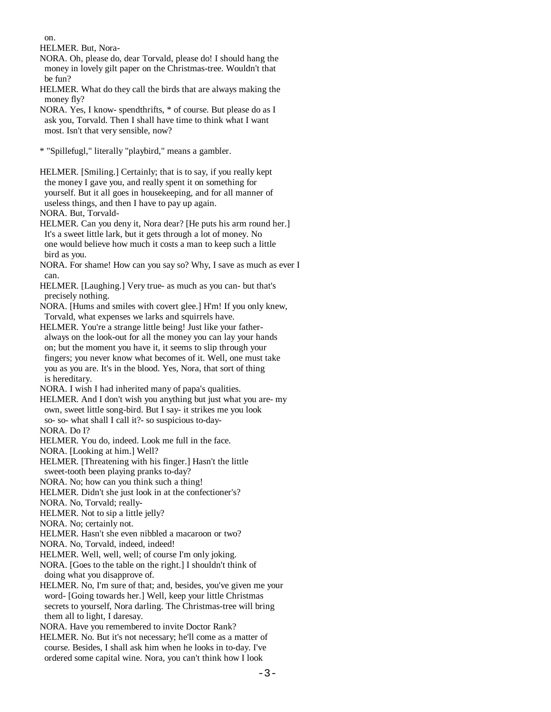on.

HELMER. But, Nora-

- NORA. Oh, please do, dear Torvald, please do! I should hang the money in lovely gilt paper on the Christmas-tree. Wouldn't that be fun?
- HELMER. What do they call the birds that are always making the money fly?
- NORA. Yes, I know- spendthrifts, \* of course. But please do as I ask you, Torvald. Then I shall have time to think what I want most. Isn't that very sensible, now?

\* "Spillefugl," literally "playbird," means a gambler.

 HELMER. [Smiling.] Certainly; that is to say, if you really kept the money I gave you, and really spent it on something for yourself. But it all goes in housekeeping, and for all manner of useless things, and then I have to pay up again.

NORA. But, Torvald-

- HELMER. Can you deny it, Nora dear? [He puts his arm round her.] It's a sweet little lark, but it gets through a lot of money. No one would believe how much it costs a man to keep such a little bird as you.
- NORA. For shame! How can you say so? Why, I save as much as ever I can.
- HELMER. [Laughing.] Very true- as much as you can- but that's precisely nothing.
- NORA. [Hums and smiles with covert glee.] H'm! If you only knew, Torvald, what expenses we larks and squirrels have.
- HELMER. You're a strange little being! Just like your father always on the look-out for all the money you can lay your hands on; but the moment you have it, it seems to slip through your fingers; you never know what becomes of it. Well, one must take you as you are. It's in the blood. Yes, Nora, that sort of thing is hereditary.
- NORA. I wish I had inherited many of papa's qualities.
- HELMER. And I don't wish you anything but just what you are- my own, sweet little song-bird. But I say- it strikes me you look so- so- what shall I call it?- so suspicious to-day-

NORA. Do I?

- HELMER. You do, indeed. Look me full in the face.
- NORA. [Looking at him.] Well?
- HELMER. [Threatening with his finger.] Hasn't the little

sweet-tooth been playing pranks to-day?

NORA. No; how can you think such a thing!

HELMER. Didn't she just look in at the confectioner's?

NORA. No, Torvald; really-

HELMER. Not to sip a little jelly?

- NORA. No; certainly not.
- HELMER. Hasn't she even nibbled a macaroon or two?
- NORA. No, Torvald, indeed, indeed!
- HELMER. Well, well, well; of course I'm only joking.
- NORA. [Goes to the table on the right.] I shouldn't think of doing what you disapprove of.
- HELMER. No, I'm sure of that; and, besides, you've given me your word- [Going towards her.] Well, keep your little Christmas secrets to yourself, Nora darling. The Christmas-tree will bring them all to light, I daresay.

NORA. Have you remembered to invite Doctor Rank?

 HELMER. No. But it's not necessary; he'll come as a matter of course. Besides, I shall ask him when he looks in to-day. I've ordered some capital wine. Nora, you can't think how I look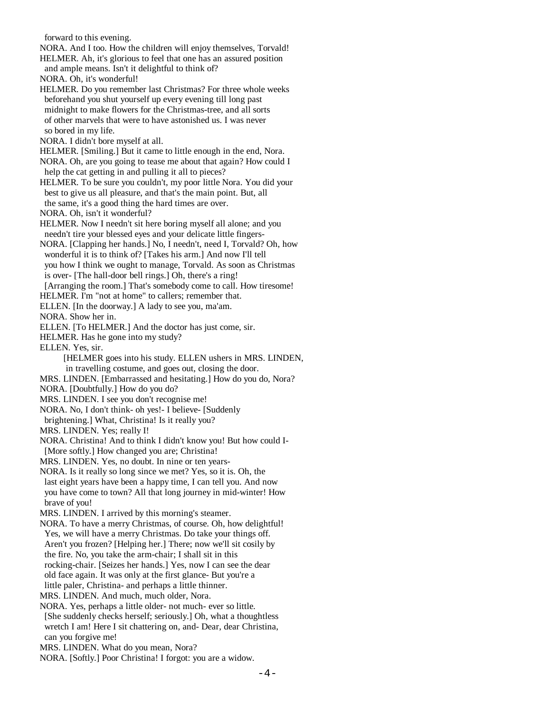forward to this evening. NORA. And I too. How the children will enjoy themselves, Torvald! HELMER. Ah, it's glorious to feel that one has an assured position and ample means. Isn't it delightful to think of? NORA. Oh, it's wonderful! HELMER. Do you remember last Christmas? For three whole weeks beforehand you shut yourself up every evening till long past midnight to make flowers for the Christmas-tree, and all sorts of other marvels that were to have astonished us. I was never so bored in my life. NORA. I didn't bore myself at all. HELMER. [Smiling.] But it came to little enough in the end, Nora. NORA. Oh, are you going to tease me about that again? How could I help the cat getting in and pulling it all to pieces? HELMER. To be sure you couldn't, my poor little Nora. You did your best to give us all pleasure, and that's the main point. But, all the same, it's a good thing the hard times are over. NORA. Oh, isn't it wonderful? HELMER. Now I needn't sit here boring myself all alone; and you needn't tire your blessed eyes and your delicate little fingers- NORA. [Clapping her hands.] No, I needn't, need I, Torvald? Oh, how wonderful it is to think of? [Takes his arm.] And now I'll tell you how I think we ought to manage, Torvald. As soon as Christmas is over- [The hall-door bell rings.] Oh, there's a ring! [Arranging the room.] That's somebody come to call. How tiresome! HELMER. I'm "not at home" to callers; remember that. ELLEN. [In the doorway.] A lady to see you, ma'am. NORA. Show her in. ELLEN. [To HELMER.] And the doctor has just come, sir. HELMER. Has he gone into my study? ELLEN. Yes, sir. [HELMER goes into his study. ELLEN ushers in MRS. LINDEN, in travelling costume, and goes out, closing the door. MRS. LINDEN. [Embarrassed and hesitating.] How do you do, Nora? NORA. [Doubtfully.] How do you do? MRS. LINDEN. I see you don't recognise me! NORA. No, I don't think- oh yes!- I believe- [Suddenly brightening.] What, Christina! Is it really you? MRS. LINDEN. Yes; really I! NORA. Christina! And to think I didn't know you! But how could I- [More softly.] How changed you are; Christina! MRS. LINDEN. Yes, no doubt. In nine or ten years- NORA. Is it really so long since we met? Yes, so it is. Oh, the last eight years have been a happy time, I can tell you. And now you have come to town? All that long journey in mid-winter! How brave of you! MRS. LINDEN. I arrived by this morning's steamer. NORA. To have a merry Christmas, of course. Oh, how delightful! Yes, we will have a merry Christmas. Do take your things off. Aren't you frozen? [Helping her.] There; now we'll sit cosily by the fire. No, you take the arm-chair; I shall sit in this rocking-chair. [Seizes her hands.] Yes, now I can see the dear old face again. It was only at the first glance- But you're a little paler, Christina- and perhaps a little thinner. MRS. LINDEN. And much, much older, Nora. NORA. Yes, perhaps a little older- not much- ever so little. [She suddenly checks herself; seriously.] Oh, what a thoughtless wretch I am! Here I sit chattering on, and- Dear, dear Christina, can you forgive me!

MRS. LINDEN. What do you mean, Nora?

NORA. [Softly.] Poor Christina! I forgot: you are a widow.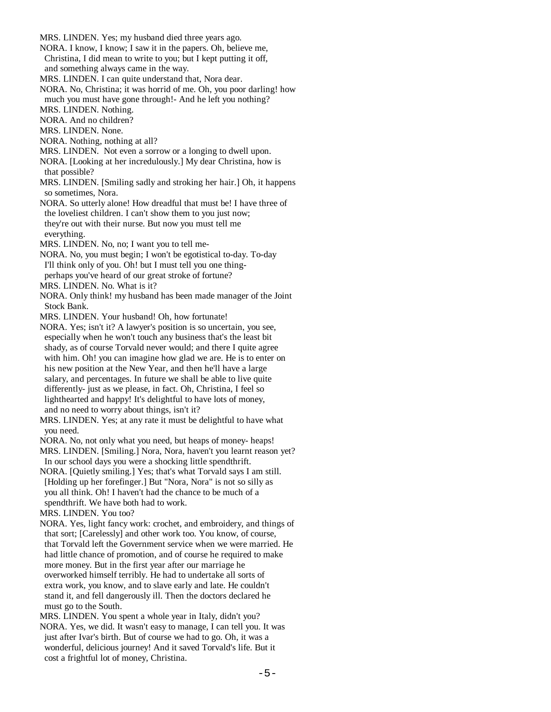- MRS. LINDEN. Yes; my husband died three years ago.
- NORA. I know, I know; I saw it in the papers. Oh, believe me, Christina, I did mean to write to you; but I kept putting it off, and something always came in the way.
- MRS. LINDEN. I can quite understand that, Nora dear.
- NORA. No, Christina; it was horrid of me. Oh, you poor darling! how much you must have gone through!- And he left you nothing?
- MRS. LINDEN. Nothing.
- NORA. And no children?
- MRS. LINDEN. None.
- NORA. Nothing, nothing at all?
- MRS. LINDEN. Not even a sorrow or a longing to dwell upon.
- NORA. [Looking at her incredulously.] My dear Christina, how is that possible?
- MRS. LINDEN. [Smiling sadly and stroking her hair.] Oh, it happens so sometimes, Nora.
- NORA. So utterly alone! How dreadful that must be! I have three of the loveliest children. I can't show them to you just now; they're out with their nurse. But now you must tell me everything.
- MRS. LINDEN. No, no; I want you to tell me-
- NORA. No, you must begin; I won't be egotistical to-day. To-day I'll think only of you. Oh! but I must tell you one thing perhaps you've heard of our great stroke of fortune?
- MRS. LINDEN. No. What is it?
- NORA. Only think! my husband has been made manager of the Joint Stock Bank.
- MRS. LINDEN. Your husband! Oh, how fortunate!
- NORA. Yes; isn't it? A lawyer's position is so uncertain, you see, especially when he won't touch any business that's the least bit shady, as of course Torvald never would; and there I quite agree with him. Oh! you can imagine how glad we are. He is to enter on his new position at the New Year, and then he'll have a large salary, and percentages. In future we shall be able to live quite differently- just as we please, in fact. Oh, Christina, I feel so lighthearted and happy! It's delightful to have lots of money, and no need to worry about things, isn't it?
- MRS. LINDEN. Yes; at any rate it must be delightful to have what you need.
- NORA. No, not only what you need, but heaps of money- heaps!
- MRS. LINDEN. [Smiling.] Nora, Nora, haven't you learnt reason yet? In our school days you were a shocking little spendthrift.
- NORA. [Quietly smiling.] Yes; that's what Torvald says I am still. [Holding up her forefinger.] But "Nora, Nora" is not so silly as you all think. Oh! I haven't had the chance to be much of a spendthrift. We have both had to work.
- MRS. LINDEN. You too?
- NORA. Yes, light fancy work: crochet, and embroidery, and things of that sort; [Carelessly] and other work too. You know, of course, that Torvald left the Government service when we were married. He had little chance of promotion, and of course he required to make more money. But in the first year after our marriage he overworked himself terribly. He had to undertake all sorts of extra work, you know, and to slave early and late. He couldn't stand it, and fell dangerously ill. Then the doctors declared he must go to the South.
- MRS. LINDEN. You spent a whole year in Italy, didn't you?
- NORA. Yes, we did. It wasn't easy to manage, I can tell you. It was just after Ivar's birth. But of course we had to go. Oh, it was a wonderful, delicious journey! And it saved Torvald's life. But it cost a frightful lot of money, Christina.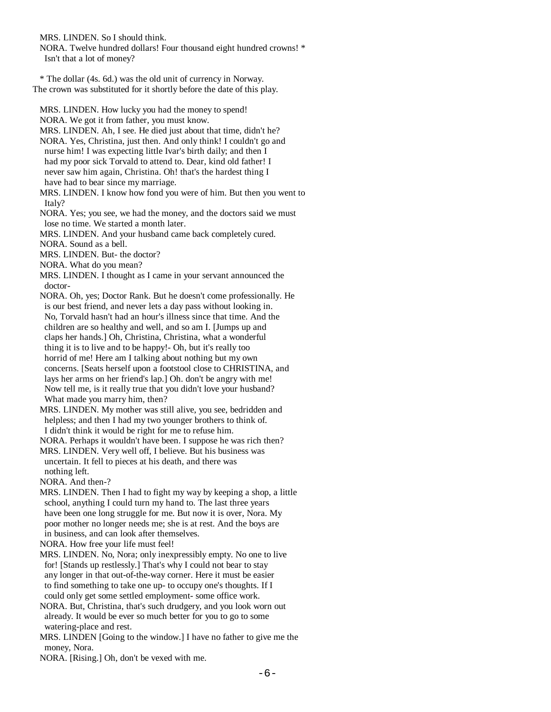MRS. LINDEN. So I should think.

 NORA. Twelve hundred dollars! Four thousand eight hundred crowns! \* Isn't that a lot of money?

 \* The dollar (4s. 6d.) was the old unit of currency in Norway. The crown was substituted for it shortly before the date of this play.

MRS. LINDEN. How lucky you had the money to spend!

NORA. We got it from father, you must know.

 MRS. LINDEN. Ah, I see. He died just about that time, didn't he? NORA. Yes, Christina, just then. And only think! I couldn't go and nurse him! I was expecting little Ivar's birth daily; and then I had my poor sick Torvald to attend to. Dear, kind old father! I never saw him again, Christina. Oh! that's the hardest thing I have had to bear since my marriage.

 MRS. LINDEN. I know how fond you were of him. But then you went to Italy?

 NORA. Yes; you see, we had the money, and the doctors said we must lose no time. We started a month later.

MRS. LINDEN. And your husband came back completely cured.

NORA. Sound as a bell.

MRS. LINDEN. But- the doctor?

NORA. What do you mean?

 MRS. LINDEN. I thought as I came in your servant announced the doctor-

 NORA. Oh, yes; Doctor Rank. But he doesn't come professionally. He is our best friend, and never lets a day pass without looking in. No, Torvald hasn't had an hour's illness since that time. And the children are so healthy and well, and so am I. [Jumps up and claps her hands.] Oh, Christina, Christina, what a wonderful thing it is to live and to be happy!- Oh, but it's really too horrid of me! Here am I talking about nothing but my own concerns. [Seats herself upon a footstool close to CHRISTINA, and lays her arms on her friend's lap.] Oh. don't be angry with me! Now tell me, is it really true that you didn't love your husband? What made you marry him, then?

 MRS. LINDEN. My mother was still alive, you see, bedridden and helpless; and then I had my two younger brothers to think of. I didn't think it would be right for me to refuse him.

NORA. Perhaps it wouldn't have been. I suppose he was rich then?

 MRS. LINDEN. Very well off, I believe. But his business was uncertain. It fell to pieces at his death, and there was nothing left.

NORA. And then-?

 MRS. LINDEN. Then I had to fight my way by keeping a shop, a little school, anything I could turn my hand to. The last three years have been one long struggle for me. But now it is over, Nora. My poor mother no longer needs me; she is at rest. And the boys are in business, and can look after themselves.

NORA. How free your life must feel!

 MRS. LINDEN. No, Nora; only inexpressibly empty. No one to live for! [Stands up restlessly.] That's why I could not bear to stay any longer in that out-of-the-way corner. Here it must be easier to find something to take one up- to occupy one's thoughts. If I could only get some settled employment- some office work.

 NORA. But, Christina, that's such drudgery, and you look worn out already. It would be ever so much better for you to go to some watering-place and rest.

 MRS. LINDEN [Going to the window.] I have no father to give me the money, Nora.

NORA. [Rising.] Oh, don't be vexed with me.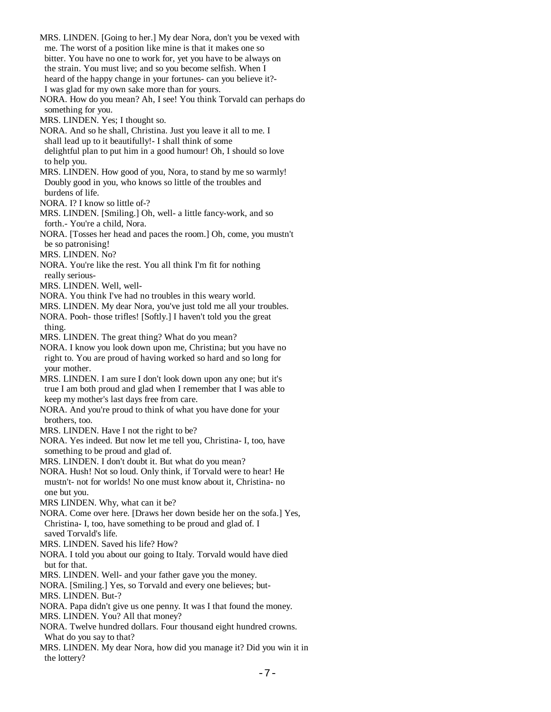MRS. LINDEN. [Going to her.] My dear Nora, don't you be vexed with me. The worst of a position like mine is that it makes one so bitter. You have no one to work for, yet you have to be always on the strain. You must live; and so you become selfish. When I heard of the happy change in your fortunes- can you believe it?- I was glad for my own sake more than for yours. NORA. How do you mean? Ah, I see! You think Torvald can perhaps do something for you. MRS. LINDEN. Yes; I thought so. NORA. And so he shall, Christina. Just you leave it all to me. I shall lead up to it beautifully!- I shall think of some delightful plan to put him in a good humour! Oh, I should so love to help you. MRS. LINDEN. How good of you, Nora, to stand by me so warmly! Doubly good in you, who knows so little of the troubles and burdens of life. NORA. I? I know so little of-? MRS. LINDEN. [Smiling.] Oh, well- a little fancy-work, and so forth.- You're a child, Nora. NORA. [Tosses her head and paces the room.] Oh, come, you mustn't be so patronising! MRS. LINDEN. No? NORA. You're like the rest. You all think I'm fit for nothing really serious- MRS. LINDEN. Well, well- NORA. You think I've had no troubles in this weary world. MRS. LINDEN. My dear Nora, you've just told me all your troubles. NORA. Pooh- those trifles! [Softly.] I haven't told you the great thing. MRS. LINDEN. The great thing? What do you mean? NORA. I know you look down upon me, Christina; but you have no right to. You are proud of having worked so hard and so long for your mother. MRS. LINDEN. I am sure I don't look down upon any one; but it's true I am both proud and glad when I remember that I was able to keep my mother's last days free from care. NORA. And you're proud to think of what you have done for your brothers, too. MRS. LINDEN. Have I not the right to be? NORA. Yes indeed. But now let me tell you, Christina- I, too, have something to be proud and glad of. MRS. LINDEN. I don't doubt it. But what do you mean? NORA. Hush! Not so loud. Only think, if Torvald were to hear! He mustn't- not for worlds! No one must know about it, Christina- no one but you. MRS LINDEN. Why, what can it be? NORA. Come over here. [Draws her down beside her on the sofa.] Yes, Christina- I, too, have something to be proud and glad of. I saved Torvald's life. MRS. LINDEN. Saved his life? How? NORA. I told you about our going to Italy. Torvald would have died but for that. MRS. LINDEN. Well- and your father gave you the money. NORA. [Smiling.] Yes, so Torvald and every one believes; but- MRS. LINDEN. But-? NORA. Papa didn't give us one penny. It was I that found the money. MRS. LINDEN. You? All that money? NORA. Twelve hundred dollars. Four thousand eight hundred crowns. What do you say to that? MRS. LINDEN. My dear Nora, how did you manage it? Did you win it in the lottery?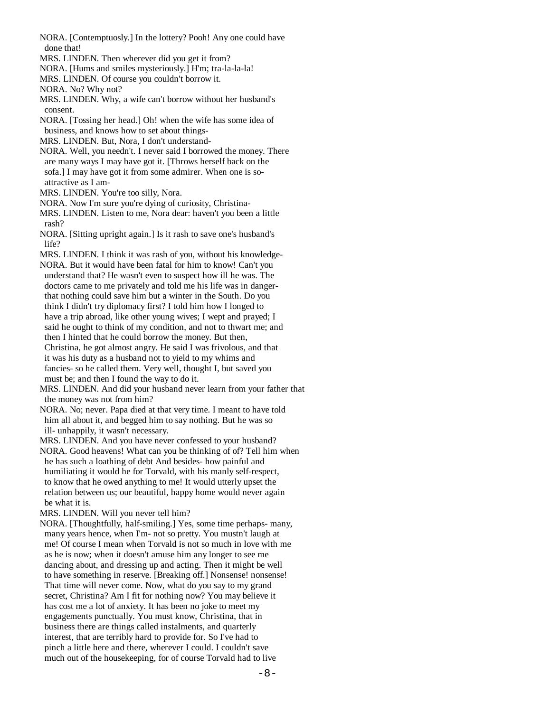- NORA. [Contemptuosly.] In the lottery? Pooh! Any one could have done that!
- MRS. LINDEN. Then wherever did you get it from?
- NORA. [Hums and smiles mysteriously.] H'm; tra-la-la-la!
- MRS. LINDEN. Of course you couldn't borrow it.

NORA. No? Why not?

 MRS. LINDEN. Why, a wife can't borrow without her husband's consent.

 NORA. [Tossing her head.] Oh! when the wife has some idea of business, and knows how to set about things-

MRS. LINDEN. But, Nora, I don't understand-

 NORA. Well, you needn't. I never said I borrowed the money. There are many ways I may have got it. [Throws herself back on the sofa.] I may have got it from some admirer. When one is so attractive as I am-

MRS. LINDEN. You're too silly, Nora.

NORA. Now I'm sure you're dying of curiosity, Christina-

 MRS. LINDEN. Listen to me, Nora dear: haven't you been a little rash?

 NORA. [Sitting upright again.] Is it rash to save one's husband's life?

 MRS. LINDEN. I think it was rash of you, without his knowledge- NORA. But it would have been fatal for him to know! Can't you understand that? He wasn't even to suspect how ill he was. The doctors came to me privately and told me his life was in danger that nothing could save him but a winter in the South. Do you think I didn't try diplomacy first? I told him how I longed to have a trip abroad, like other young wives; I wept and prayed; I said he ought to think of my condition, and not to thwart me; and then I hinted that he could borrow the money. But then, Christina, he got almost angry. He said I was frivolous, and that it was his duty as a husband not to yield to my whims and fancies- so he called them. Very well, thought I, but saved you must be; and then I found the way to do it.

 MRS. LINDEN. And did your husband never learn from your father that the money was not from him?

 NORA. No; never. Papa died at that very time. I meant to have told him all about it, and begged him to say nothing. But he was so ill- unhappily, it wasn't necessary.

 MRS. LINDEN. And you have never confessed to your husband? NORA. Good heavens! What can you be thinking of of? Tell him when he has such a loathing of debt And besides- how painful and humiliating it would he for Torvald, with his manly self-respect, to know that he owed anything to me! It would utterly upset the relation between us; our beautiful, happy home would never again be what it is.

MRS. LINDEN. Will you never tell him?

 NORA. [Thoughtfully, half-smiling.] Yes, some time perhaps- many, many years hence, when I'm- not so pretty. You mustn't laugh at me! Of course I mean when Torvald is not so much in love with me as he is now; when it doesn't amuse him any longer to see me dancing about, and dressing up and acting. Then it might be well to have something in reserve. [Breaking off.] Nonsense! nonsense! That time will never come. Now, what do you say to my grand secret, Christina? Am I fit for nothing now? You may believe it has cost me a lot of anxiety. It has been no joke to meet my engagements punctually. You must know, Christina, that in business there are things called instalments, and quarterly interest, that are terribly hard to provide for. So I've had to pinch a little here and there, wherever I could. I couldn't save much out of the housekeeping, for of course Torvald had to live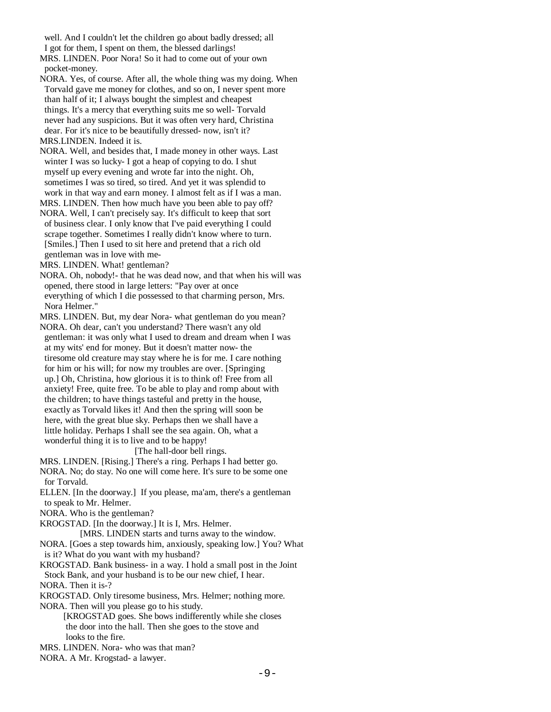well. And I couldn't let the children go about badly dressed; all I got for them, I spent on them, the blessed darlings!

 MRS. LINDEN. Poor Nora! So it had to come out of your own pocket-money.

 NORA. Yes, of course. After all, the whole thing was my doing. When Torvald gave me money for clothes, and so on, I never spent more than half of it; I always bought the simplest and cheapest things. It's a mercy that everything suits me so well- Torvald never had any suspicions. But it was often very hard, Christina dear. For it's nice to be beautifully dressed- now, isn't it? MRS.LINDEN. Indeed it is.

 NORA. Well, and besides that, I made money in other ways. Last winter I was so lucky- I got a heap of copying to do. I shut myself up every evening and wrote far into the night. Oh, sometimes I was so tired, so tired. And yet it was splendid to work in that way and earn money. I almost felt as if I was a man.

 MRS. LINDEN. Then how much have you been able to pay off? NORA. Well, I can't precisely say. It's difficult to keep that sort of business clear. I only know that I've paid everything I could scrape together. Sometimes I really didn't know where to turn. [Smiles.] Then I used to sit here and pretend that a rich old gentleman was in love with me-

MRS. LINDEN. What! gentleman?

 NORA. Oh, nobody!- that he was dead now, and that when his will was opened, there stood in large letters: "Pay over at once everything of which I die possessed to that charming person, Mrs. Nora Helmer."

MRS. LINDEN. But, my dear Nora- what gentleman do you mean?

 NORA. Oh dear, can't you understand? There wasn't any old gentleman: it was only what I used to dream and dream when I was at my wits' end for money. But it doesn't matter now- the tiresome old creature may stay where he is for me. I care nothing for him or his will; for now my troubles are over. [Springing up.] Oh, Christina, how glorious it is to think of! Free from all anxiety! Free, quite free. To be able to play and romp about with the children; to have things tasteful and pretty in the house, exactly as Torvald likes it! And then the spring will soon be here, with the great blue sky. Perhaps then we shall have a little holiday. Perhaps I shall see the sea again. Oh, what a wonderful thing it is to live and to be happy!

## [The hall-door bell rings.

 MRS. LINDEN. [Rising.] There's a ring. Perhaps I had better go. NORA. No; do stay. No one will come here. It's sure to be some one for Torvald.

 ELLEN. [In the doorway.] If you please, ma'am, there's a gentleman to speak to Mr. Helmer.

NORA. Who is the gentleman?

KROGSTAD. [In the doorway.] It is I, Mrs. Helmer.

[MRS. LINDEN starts and turns away to the window.

 NORA. [Goes a step towards him, anxiously, speaking low.] You? What is it? What do you want with my husband?

 KROGSTAD. Bank business- in a way. I hold a small post in the Joint Stock Bank, and your husband is to be our new chief, I hear.

NORA. Then it is-?

KROGSTAD. Only tiresome business, Mrs. Helmer; nothing more.

NORA. Then will you please go to his study.

 [KROGSTAD goes. She bows indifferently while she closes the door into the hall. Then she goes to the stove and looks to the fire.

MRS. LINDEN. Nora- who was that man?

NORA. A Mr. Krogstad- a lawyer.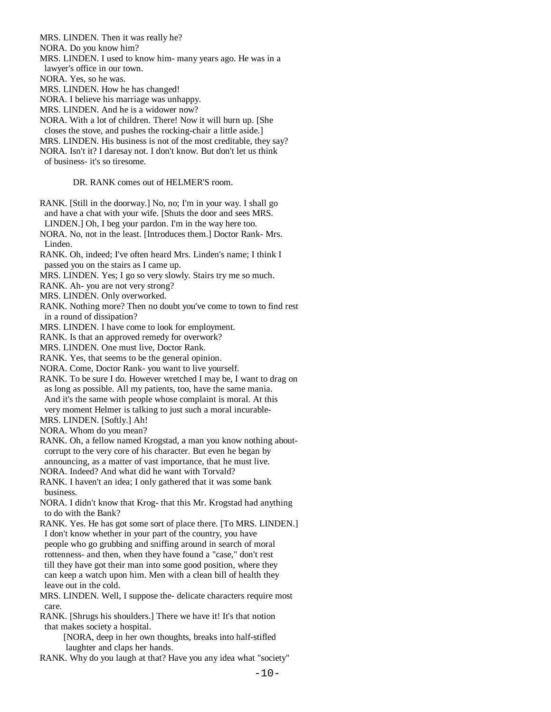MRS. LINDEN. Then it was really he?

NORA. Do you know him?

MRS. LINDEN. I used to know him- many years ago. He was in a

lawyer's office in our town.

NORA. Yes, so he was.

MRS. LINDEN. How he has changed!

NORA. I believe his marriage was unhappy.

MRS. LINDEN. And he is a widower now?

NORA. With a lot of children. There! Now it will burn up. [She

closes the stove, and pushes the rocking-chair a little aside.]

MRS. LINDEN. His business is not of the most creditable, they say?

NORA. Isn't it? I daresay not. I don't know. But don't let us think

of business- it's so tiresome.

DR. RANK comes out of HELMER'S room.

 RANK. [Still in the doorway.] No, no; I'm in your way. I shall go and have a chat with your wife. [Shuts the door and sees MRS. LINDEN.] Oh, I beg your pardon. I'm in the way here too.

 NORA. No, not in the least. [Introduces them.] Doctor Rank- Mrs. Linden.

 RANK. Oh, indeed; I've often heard Mrs. Linden's name; I think I passed you on the stairs as I came up.

MRS. LINDEN. Yes; I go so very slowly. Stairs try me so much.

RANK. Ah- you are not very strong?

MRS. LINDEN. Only overworked.

 RANK. Nothing more? Then no doubt you've come to town to find rest in a round of dissipation?

MRS. LINDEN. I have come to look for employment.

RANK. Is that an approved remedy for overwork?

MRS. LINDEN. One must live, Doctor Rank.

RANK. Yes, that seems to be the general opinion.

NORA. Come, Doctor Rank- you want to live yourself.

 RANK. To be sure I do. However wretched I may be, I want to drag on as long as possible. All my patients, too, have the same mania. And it's the same with people whose complaint is moral. At this very moment Helmer is talking to just such a moral incurable-

MRS. LINDEN. [Softly.] Ah!

NORA. Whom do you mean?

- RANK. Oh, a fellow named Krogstad, a man you know nothing about corrupt to the very core of his character. But even he began by announcing, as a matter of vast importance, that he must live.
- NORA. Indeed? And what did he want with Torvald?

 RANK. I haven't an idea; I only gathered that it was some bank business.

 NORA. I didn't know that Krog- that this Mr. Krogstad had anything to do with the Bank?

 RANK. Yes. He has got some sort of place there. [To MRS. LINDEN.] I don't know whether in your part of the country, you have people who go grubbing and sniffing around in search of moral rottenness- and then, when they have found a "case," don't rest till they have got their man into some good position, where they can keep a watch upon him. Men with a clean bill of health they leave out in the cold.

 MRS. LINDEN. Well, I suppose the- delicate characters require most care.

 RANK. [Shrugs his shoulders.] There we have it! It's that notion that makes society a hospital.

 [NORA, deep in her own thoughts, breaks into half-stifled laughter and claps her hands.

RANK. Why do you laugh at that? Have you any idea what "society"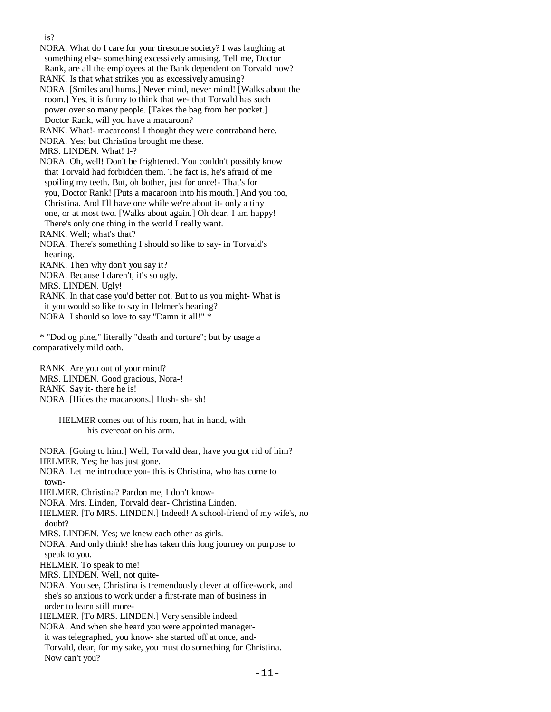NORA. What do I care for your tiresome society? I was laughing at something else- something excessively amusing. Tell me, Doctor Rank, are all the employees at the Bank dependent on Torvald now?

RANK. Is that what strikes you as excessively amusing?

 NORA. [Smiles and hums.] Never mind, never mind! [Walks about the room.] Yes, it is funny to think that we- that Torvald has such power over so many people. [Takes the bag from her pocket.] Doctor Rank, will you have a macaroon?

RANK. What!- macaroons! I thought they were contraband here.

NORA. Yes; but Christina brought me these.

MRS. LINDEN. What! I-?

 NORA. Oh, well! Don't be frightened. You couldn't possibly know that Torvald had forbidden them. The fact is, he's afraid of me spoiling my teeth. But, oh bother, just for once!- That's for you, Doctor Rank! [Puts a macaroon into his mouth.] And you too, Christina. And I'll have one while we're about it- only a tiny one, or at most two. [Walks about again.] Oh dear, I am happy! There's only one thing in the world I really want. RANK. Well; what's that?

 NORA. There's something I should so like to say- in Torvald's hearing.

RANK. Then why don't you say it?

NORA. Because I daren't, it's so ugly.

MRS. LINDEN. Ugly!

 RANK. In that case you'd better not. But to us you might- What is it you would so like to say in Helmer's hearing? NORA. I should so love to say "Damn it all!" \*

 \* "Dod og pine," literally "death and torture"; but by usage a comparatively mild oath.

 RANK. Are you out of your mind? MRS. LINDEN. Good gracious, Nora-! RANK. Say it- there he is! NORA. [Hides the macaroons.] Hush- sh- sh!

> HELMER comes out of his room, hat in hand, with his overcoat on his arm.

 NORA. [Going to him.] Well, Torvald dear, have you got rid of him? HELMER. Yes; he has just gone. NORA. Let me introduce you- this is Christina, who has come to town- HELMER. Christina? Pardon me, I don't know- NORA. Mrs. Linden, Torvald dear- Christina Linden. HELMER. [To MRS. LINDEN.] Indeed! A school-friend of my wife's, no doubt? MRS. LINDEN. Yes; we knew each other as girls. NORA. And only think! she has taken this long journey on purpose to speak to you. HELMER. To speak to me! MRS. LINDEN. Well, not quite- NORA. You see, Christina is tremendously clever at office-work, and she's so anxious to work under a first-rate man of business in order to learn still more- HELMER. [To MRS. LINDEN.] Very sensible indeed. NORA. And when she heard you were appointed manager it was telegraphed, you know- she started off at once, and- Torvald, dear, for my sake, you must do something for Christina. Now can't you?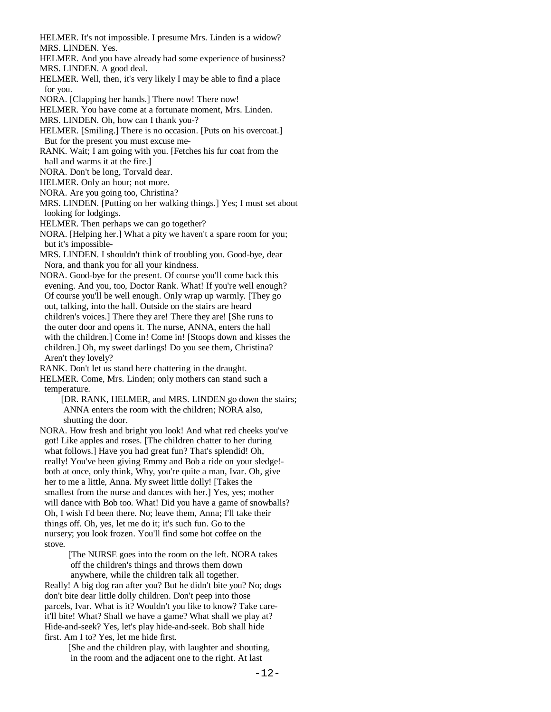HELMER. It's not impossible. I presume Mrs. Linden is a widow? MRS. LINDEN. Yes.

 HELMER. And you have already had some experience of business? MRS. LINDEN. A good deal.

 HELMER. Well, then, it's very likely I may be able to find a place for you.

NORA. [Clapping her hands.] There now! There now!

HELMER. You have come at a fortunate moment, Mrs. Linden.

MRS. LINDEN. Oh, how can I thank you-?

 HELMER. [Smiling.] There is no occasion. [Puts on his overcoat.] But for the present you must excuse me-

 RANK. Wait; I am going with you. [Fetches his fur coat from the hall and warms it at the fire.]

NORA. Don't be long, Torvald dear.

HELMER. Only an hour; not more.

NORA. Are you going too, Christina?

 MRS. LINDEN. [Putting on her walking things.] Yes; I must set about looking for lodgings.

HELMER. Then perhaps we can go together?

 NORA. [Helping her.] What a pity we haven't a spare room for you; but it's impossible-

 MRS. LINDEN. I shouldn't think of troubling you. Good-bye, dear Nora, and thank you for all your kindness.

- NORA. Good-bye for the present. Of course you'll come back this evening. And you, too, Doctor Rank. What! If you're well enough? Of course you'll be well enough. Only wrap up warmly. [They go out, talking, into the hall. Outside on the stairs are heard children's voices.] There they are! There they are! [She runs to the outer door and opens it. The nurse, ANNA, enters the hall with the children.] Come in! Come in! [Stoops down and kisses the children.] Oh, my sweet darlings! Do you see them, Christina? Aren't they lovely?
- RANK. Don't let us stand here chattering in the draught.

 HELMER. Come, Mrs. Linden; only mothers can stand such a temperature.

 [DR. RANK, HELMER, and MRS. LINDEN go down the stairs; ANNA enters the room with the children; NORA also, shutting the door.

 NORA. How fresh and bright you look! And what red cheeks you've got! Like apples and roses. [The children chatter to her during what follows.] Have you had great fun? That's splendid! Oh, really! You've been giving Emmy and Bob a ride on your sledge! both at once, only think, Why, you're quite a man, Ivar. Oh, give her to me a little, Anna. My sweet little dolly! [Takes the smallest from the nurse and dances with her.] Yes, yes; mother will dance with Bob too. What! Did you have a game of snowballs? Oh, I wish I'd been there. No; leave them, Anna; I'll take their things off. Oh, yes, let me do it; it's such fun. Go to the nursery; you look frozen. You'll find some hot coffee on the stove.

> [The NURSE goes into the room on the left. NORA takes off the children's things and throws them down anywhere, while the children talk all together.

 Really! A big dog ran after you? But he didn't bite you? No; dogs don't bite dear little dolly children. Don't peep into those parcels, Ivar. What is it? Wouldn't you like to know? Take care it'll bite! What? Shall we have a game? What shall we play at? Hide-and-seek? Yes, let's play hide-and-seek. Bob shall hide first. Am I to? Yes, let me hide first.

 [She and the children play, with laughter and shouting, in the room and the adjacent one to the right. At last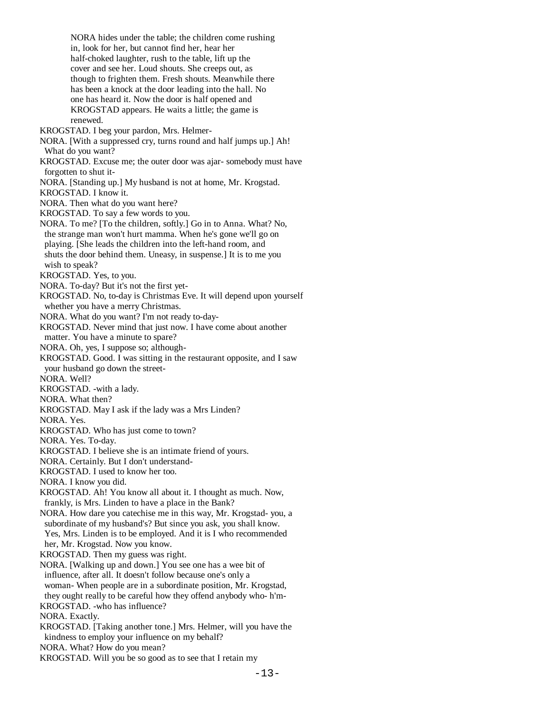NORA hides under the table; the children come rushing in, look for her, but cannot find her, hear her half-choked laughter, rush to the table, lift up the cover and see her. Loud shouts. She creeps out, as though to frighten them. Fresh shouts. Meanwhile there has been a knock at the door leading into the hall. No one has heard it. Now the door is half opened and KROGSTAD appears. He waits a little; the game is renewed. KROGSTAD. I beg your pardon, Mrs. Helmer- NORA. [With a suppressed cry, turns round and half jumps up.] Ah! What do you want? KROGSTAD. Excuse me; the outer door was ajar- somebody must have forgotten to shut it- NORA. [Standing up.] My husband is not at home, Mr. Krogstad. KROGSTAD. I know it. NORA. Then what do you want here? KROGSTAD. To say a few words to you. NORA. To me? [To the children, softly.] Go in to Anna. What? No, the strange man won't hurt mamma. When he's gone we'll go on playing. [She leads the children into the left-hand room, and shuts the door behind them. Uneasy, in suspense.] It is to me you wish to speak? KROGSTAD. Yes, to you. NORA. To-day? But it's not the first yet- KROGSTAD. No, to-day is Christmas Eve. It will depend upon yourself whether you have a merry Christmas. NORA. What do you want? I'm not ready to-day- KROGSTAD. Never mind that just now. I have come about another matter. You have a minute to spare? NORA. Oh, yes, I suppose so; although- KROGSTAD. Good. I was sitting in the restaurant opposite, and I saw your husband go down the street- NORA. Well? KROGSTAD. -with a lady. NORA. What then? KROGSTAD. May I ask if the lady was a Mrs Linden? NORA. Yes. KROGSTAD. Who has just come to town? NORA. Yes. To-day. KROGSTAD. I believe she is an intimate friend of yours. NORA. Certainly. But I don't understand- KROGSTAD. I used to know her too. NORA. I know you did. KROGSTAD. Ah! You know all about it. I thought as much. Now, frankly, is Mrs. Linden to have a place in the Bank? NORA. How dare you catechise me in this way, Mr. Krogstad- you, a subordinate of my husband's? But since you ask, you shall know. Yes, Mrs. Linden is to be employed. And it is I who recommended her, Mr. Krogstad. Now you know. KROGSTAD. Then my guess was right. NORA. [Walking up and down.] You see one has a wee bit of influence, after all. It doesn't follow because one's only a woman- When people are in a subordinate position, Mr. Krogstad, they ought really to be careful how they offend anybody who- h'm- KROGSTAD. -who has influence? NORA. Exactly. KROGSTAD. [Taking another tone.] Mrs. Helmer, will you have the kindness to employ your influence on my behalf? NORA. What? How do you mean? KROGSTAD. Will you be so good as to see that I retain my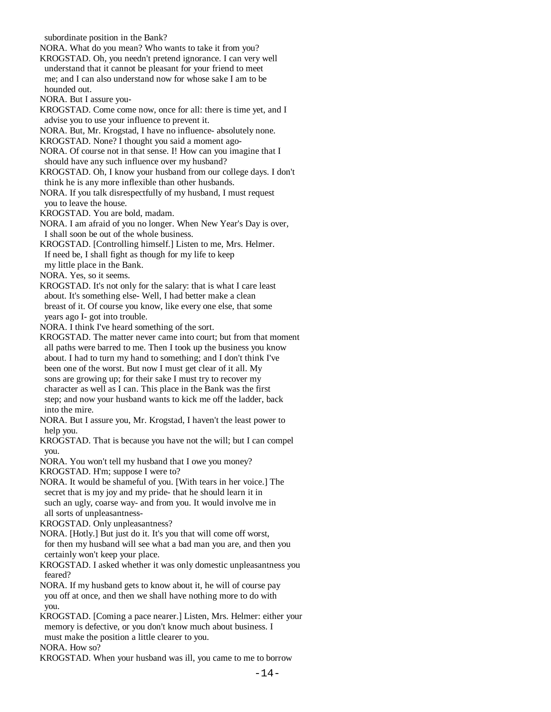subordinate position in the Bank?

 NORA. What do you mean? Who wants to take it from you? KROGSTAD. Oh, you needn't pretend ignorance. I can very well understand that it cannot be pleasant for your friend to meet me; and I can also understand now for whose sake I am to be hounded out. NORA. But I assure you- KROGSTAD. Come come now, once for all: there is time yet, and I advise you to use your influence to prevent it. NORA. But, Mr. Krogstad, I have no influence- absolutely none. KROGSTAD. None? I thought you said a moment ago- NORA. Of course not in that sense. I! How can you imagine that I should have any such influence over my husband? KROGSTAD. Oh, I know your husband from our college days. I don't think he is any more inflexible than other husbands. NORA. If you talk disrespectfully of my husband, I must request you to leave the house. KROGSTAD. You are bold, madam. NORA. I am afraid of you no longer. When New Year's Day is over, I shall soon be out of the whole business. KROGSTAD. [Controlling himself.] Listen to me, Mrs. Helmer. If need be, I shall fight as though for my life to keep my little place in the Bank. NORA. Yes, so it seems. KROGSTAD. It's not only for the salary: that is what I care least about. It's something else- Well, I had better make a clean breast of it. Of course you know, like every one else, that some years ago I- got into trouble. NORA. I think I've heard something of the sort. KROGSTAD. The matter never came into court; but from that moment all paths were barred to me. Then I took up the business you know about. I had to turn my hand to something; and I don't think I've been one of the worst. But now I must get clear of it all. My sons are growing up; for their sake I must try to recover my character as well as I can. This place in the Bank was the first step; and now your husband wants to kick me off the ladder, back into the mire. NORA. But I assure you, Mr. Krogstad, I haven't the least power to help you. KROGSTAD. That is because you have not the will; but I can compel you. NORA. You won't tell my husband that I owe you money? KROGSTAD. H'm; suppose I were to? NORA. It would be shameful of you. [With tears in her voice.] The secret that is my joy and my pride- that he should learn it in such an ugly, coarse way- and from you. It would involve me in all sorts of unpleasantness- KROGSTAD. Only unpleasantness? NORA. [Hotly.] But just do it. It's you that will come off worst, for then my husband will see what a bad man you are, and then you certainly won't keep your place. KROGSTAD. I asked whether it was only domestic unpleasantness you feared? NORA. If my husband gets to know about it, he will of course pay

 you off at once, and then we shall have nothing more to do with you.

 KROGSTAD. [Coming a pace nearer.] Listen, Mrs. Helmer: either your memory is defective, or you don't know much about business. I must make the position a little clearer to you.

NORA. How so?

KROGSTAD. When your husband was ill, you came to me to borrow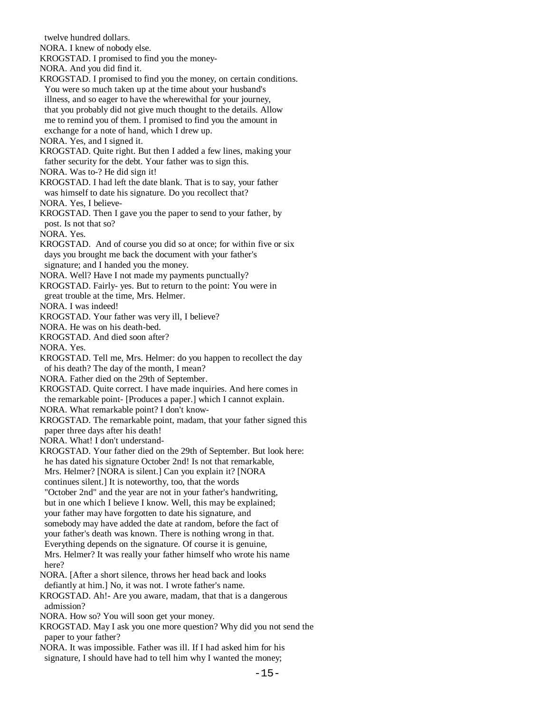twelve hundred dollars. NORA. I knew of nobody else. KROGSTAD. I promised to find you the money- NORA. And you did find it. KROGSTAD. I promised to find you the money, on certain conditions. You were so much taken up at the time about your husband's illness, and so eager to have the wherewithal for your journey, that you probably did not give much thought to the details. Allow me to remind you of them. I promised to find you the amount in exchange for a note of hand, which I drew up. NORA. Yes, and I signed it. KROGSTAD. Quite right. But then I added a few lines, making your father security for the debt. Your father was to sign this. NORA. Was to-? He did sign it! KROGSTAD. I had left the date blank. That is to say, your father was himself to date his signature. Do you recollect that? NORA. Yes, I believe- KROGSTAD. Then I gave you the paper to send to your father, by post. Is not that so? NORA. Yes. KROGSTAD. And of course you did so at once; for within five or six days you brought me back the document with your father's signature; and I handed you the money. NORA. Well? Have I not made my payments punctually? KROGSTAD. Fairly- yes. But to return to the point: You were in great trouble at the time, Mrs. Helmer. NORA. I was indeed! KROGSTAD. Your father was very ill, I believe? NORA. He was on his death-bed. KROGSTAD. And died soon after? NORA. Yes. KROGSTAD. Tell me, Mrs. Helmer: do you happen to recollect the day of his death? The day of the month, I mean? NORA. Father died on the 29th of September. KROGSTAD. Quite correct. I have made inquiries. And here comes in the remarkable point- [Produces a paper.] which I cannot explain. NORA. What remarkable point? I don't know- KROGSTAD. The remarkable point, madam, that your father signed this paper three days after his death! NORA. What! I don't understand- KROGSTAD. Your father died on the 29th of September. But look here: he has dated his signature October 2nd! Is not that remarkable, Mrs. Helmer? [NORA is silent.] Can you explain it? [NORA continues silent.] It is noteworthy, too, that the words "October 2nd" and the year are not in your father's handwriting, but in one which I believe I know. Well, this may be explained; your father may have forgotten to date his signature, and somebody may have added the date at random, before the fact of your father's death was known. There is nothing wrong in that. Everything depends on the signature. Of course it is genuine, Mrs. Helmer? It was really your father himself who wrote his name here? NORA. [After a short silence, throws her head back and looks defiantly at him.] No, it was not. I wrote father's name. KROGSTAD. Ah!- Are you aware, madam, that that is a dangerous admission? NORA. How so? You will soon get your money. KROGSTAD. May I ask you one more question? Why did you not send the paper to your father? NORA. It was impossible. Father was ill. If I had asked him for his signature, I should have had to tell him why I wanted the money;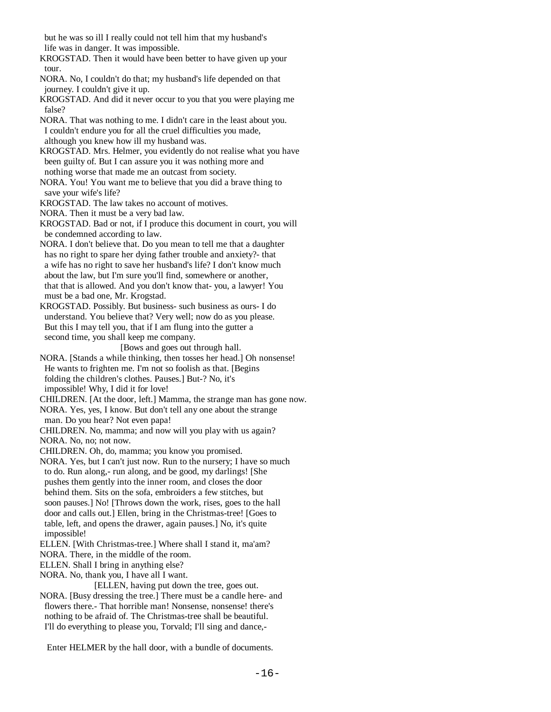but he was so ill I really could not tell him that my husband's life was in danger. It was impossible.

 KROGSTAD. Then it would have been better to have given up your tour.

 NORA. No, I couldn't do that; my husband's life depended on that journey. I couldn't give it up.

 KROGSTAD. And did it never occur to you that you were playing me false?

 NORA. That was nothing to me. I didn't care in the least about you. I couldn't endure you for all the cruel difficulties you made, although you knew how ill my husband was.

 KROGSTAD. Mrs. Helmer, you evidently do not realise what you have been guilty of. But I can assure you it was nothing more and nothing worse that made me an outcast from society.

 NORA. You! You want me to believe that you did a brave thing to save your wife's life?

KROGSTAD. The law takes no account of motives.

NORA. Then it must be a very bad law.

 KROGSTAD. Bad or not, if I produce this document in court, you will be condemned according to law.

 NORA. I don't believe that. Do you mean to tell me that a daughter has no right to spare her dying father trouble and anxiety?- that a wife has no right to save her husband's life? I don't know much about the law, but I'm sure you'll find, somewhere or another, that that is allowed. And you don't know that- you, a lawyer! You must be a bad one, Mr. Krogstad.

 KROGSTAD. Possibly. But business- such business as ours- I do understand. You believe that? Very well; now do as you please. But this I may tell you, that if I am flung into the gutter a second time, you shall keep me company.

 [Bows and goes out through hall. NORA. [Stands a while thinking, then tosses her head.] Oh nonsense! He wants to frighten me. I'm not so foolish as that. [Begins folding the children's clothes. Pauses.] But-? No, it's impossible! Why, I did it for love!

CHILDREN. [At the door, left.] Mamma, the strange man has gone now.

NORA. Yes, yes, I know. But don't tell any one about the strange

man. Do you hear? Not even papa!

 CHILDREN. No, mamma; and now will you play with us again? NORA. No, no; not now.

CHILDREN. Oh, do, mamma; you know you promised.

- NORA. Yes, but I can't just now. Run to the nursery; I have so much to do. Run along,- run along, and be good, my darlings! [She pushes them gently into the inner room, and closes the door behind them. Sits on the sofa, embroiders a few stitches, but soon pauses.] No! [Throws down the work, rises, goes to the hall door and calls out.] Ellen, bring in the Christmas-tree! [Goes to table, left, and opens the drawer, again pauses.] No, it's quite impossible!
- ELLEN. [With Christmas-tree.] Where shall I stand it, ma'am?

NORA. There, in the middle of the room.

ELLEN. Shall I bring in anything else?

NORA. No, thank you, I have all I want.

 [ELLEN, having put down the tree, goes out. NORA. [Busy dressing the tree.] There must be a candle here- and

 flowers there.- That horrible man! Nonsense, nonsense! there's nothing to be afraid of. The Christmas-tree shall be beautiful. I'll do everything to please you, Torvald; I'll sing and dance,-

Enter HELMER by the hall door, with a bundle of documents.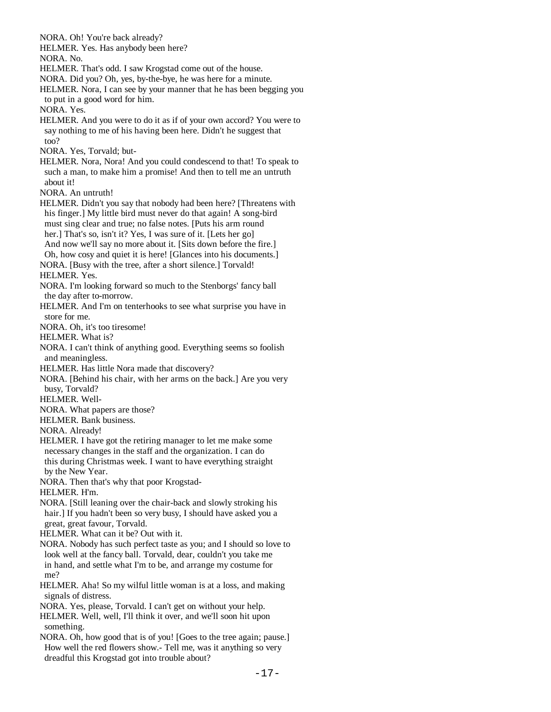NORA. Oh! You're back already? HELMER. Yes. Has anybody been here? NORA. No. HELMER. That's odd. I saw Krogstad come out of the house. NORA. Did you? Oh, yes, by-the-bye, he was here for a minute. HELMER. Nora, I can see by your manner that he has been begging you to put in a good word for him. NORA. Yes. HELMER. And you were to do it as if of your own accord? You were to say nothing to me of his having been here. Didn't he suggest that too? NORA. Yes, Torvald; but- HELMER. Nora, Nora! And you could condescend to that! To speak to such a man, to make him a promise! And then to tell me an untruth about it! NORA. An untruth! HELMER. Didn't you say that nobody had been here? [Threatens with his finger.] My little bird must never do that again! A song-bird must sing clear and true; no false notes. [Puts his arm round her.] That's so, isn't it? Yes, I was sure of it. [Lets her go] And now we'll say no more about it. [Sits down before the fire.] Oh, how cosy and quiet it is here! [Glances into his documents.] NORA. [Busy with the tree, after a short silence.] Torvald! HELMER. Yes. NORA. I'm looking forward so much to the Stenborgs' fancy ball the day after to-morrow. HELMER. And I'm on tenterhooks to see what surprise you have in store for me. NORA. Oh, it's too tiresome! HELMER. What is? NORA. I can't think of anything good. Everything seems so foolish and meaningless. HELMER. Has little Nora made that discovery? NORA. [Behind his chair, with her arms on the back.] Are you very busy, Torvald? HELMER. Well- NORA. What papers are those? HELMER. Bank business. NORA. Already! HELMER. I have got the retiring manager to let me make some necessary changes in the staff and the organization. I can do this during Christmas week. I want to have everything straight by the New Year. NORA. Then that's why that poor Krogstad- HELMER. H'm. NORA. [Still leaning over the chair-back and slowly stroking his hair.] If you hadn't been so very busy, I should have asked you a great, great favour, Torvald. HELMER. What can it be? Out with it. NORA. Nobody has such perfect taste as you; and I should so love to look well at the fancy ball. Torvald, dear, couldn't you take me in hand, and settle what I'm to be, and arrange my costume for me? HELMER. Aha! So my wilful little woman is at a loss, and making signals of distress. NORA. Yes, please, Torvald. I can't get on without your help. HELMER. Well, well, I'll think it over, and we'll soon hit upon something. NORA. Oh, how good that is of you! [Goes to the tree again; pause.] How well the red flowers show.- Tell me, was it anything so very dreadful this Krogstad got into trouble about?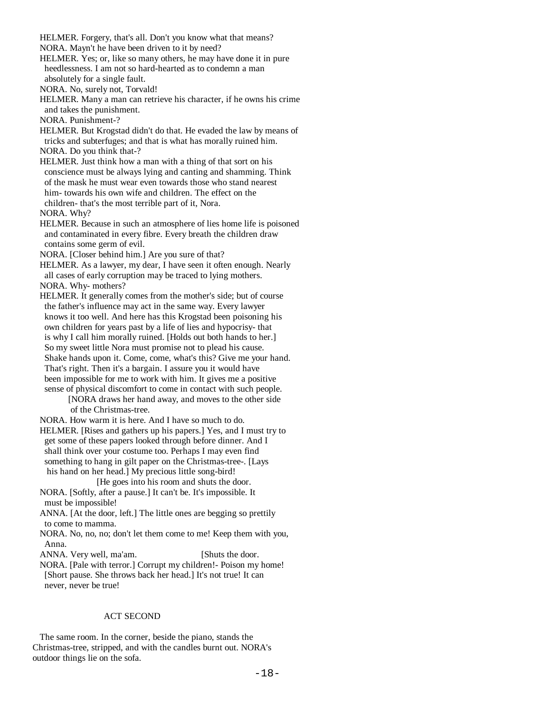HELMER. Forgery, that's all. Don't you know what that means? NORA. Mayn't he have been driven to it by need? HELMER. Yes; or, like so many others, he may have done it in pure heedlessness. I am not so hard-hearted as to condemn a man absolutely for a single fault. NORA. No, surely not, Torvald! HELMER. Many a man can retrieve his character, if he owns his crime and takes the punishment. NORA. Punishment-? HELMER. But Krogstad didn't do that. He evaded the law by means of tricks and subterfuges; and that is what has morally ruined him. NORA. Do you think that-? HELMER. Just think how a man with a thing of that sort on his conscience must be always lying and canting and shamming. Think of the mask he must wear even towards those who stand nearest him- towards his own wife and children. The effect on the children- that's the most terrible part of it, Nora. NORA. Why? HELMER. Because in such an atmosphere of lies home life is poisoned and contaminated in every fibre. Every breath the children draw contains some germ of evil. NORA. [Closer behind him.] Are you sure of that? HELMER. As a lawyer, my dear, I have seen it often enough. Nearly all cases of early corruption may be traced to lying mothers. NORA. Why- mothers? HELMER. It generally comes from the mother's side; but of course the father's influence may act in the same way. Every lawyer knows it too well. And here has this Krogstad been poisoning his own children for years past by a life of lies and hypocrisy- that is why I call him morally ruined. [Holds out both hands to her.] So my sweet little Nora must promise not to plead his cause. Shake hands upon it. Come, come, what's this? Give me your hand. That's right. Then it's a bargain. I assure you it would have been impossible for me to work with him. It gives me a positive sense of physical discomfort to come in contact with such people. [NORA draws her hand away, and moves to the other side of the Christmas-tree. NORA. How warm it is here. And I have so much to do. HELMER. [Rises and gathers up his papers.] Yes, and I must try to get some of these papers looked through before dinner. And I shall think over your costume too. Perhaps I may even find something to hang in gilt paper on the Christmas-tree-. [Lays his hand on her head.] My precious little song-bird! [He goes into his room and shuts the door. NORA. [Softly, after a pause.] It can't be. It's impossible. It must be impossible! ANNA. [At the door, left.] The little ones are begging so prettily to come to mamma. NORA. No, no, no; don't let them come to me! Keep them with you, Anna. ANNA. Very well, ma'am. [Shuts the door.] NORA. [Pale with terror.] Corrupt my children!- Poison my home! [Short pause. She throws back her head.] It's not true! It can never, never be true!

#### ACT SECOND

 The same room. In the corner, beside the piano, stands the Christmas-tree, stripped, and with the candles burnt out. NORA's outdoor things lie on the sofa.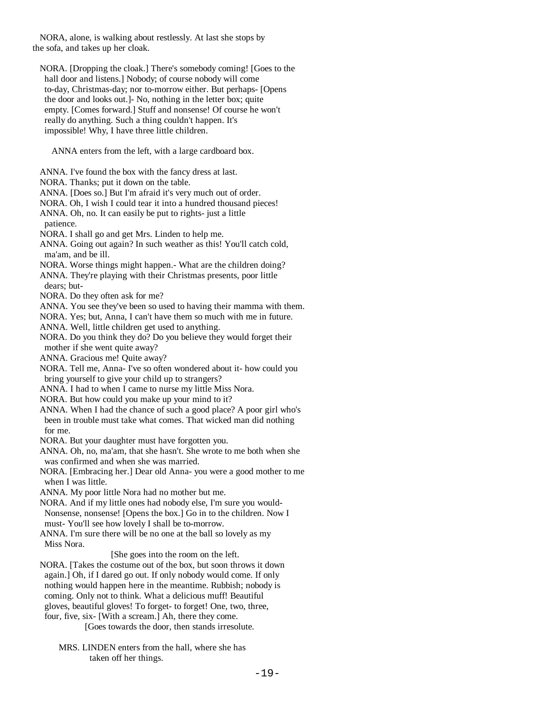NORA, alone, is walking about restlessly. At last she stops by the sofa, and takes up her cloak.

 NORA. [Dropping the cloak.] There's somebody coming! [Goes to the hall door and listens.] Nobody; of course nobody will come to-day, Christmas-day; nor to-morrow either. But perhaps- [Opens the door and looks out.]- No, nothing in the letter box; quite empty. [Comes forward.] Stuff and nonsense! Of course he won't really do anything. Such a thing couldn't happen. It's impossible! Why, I have three little children.

ANNA enters from the left, with a large cardboard box.

ANNA. I've found the box with the fancy dress at last.

NORA. Thanks; put it down on the table.

ANNA. [Does so.] But I'm afraid it's very much out of order.

NORA. Oh, I wish I could tear it into a hundred thousand pieces!

 ANNA. Oh, no. It can easily be put to rights- just a little patience.

NORA. I shall go and get Mrs. Linden to help me.

 ANNA. Going out again? In such weather as this! You'll catch cold, ma'am, and be ill.

- NORA. Worse things might happen.- What are the children doing?
- ANNA. They're playing with their Christmas presents, poor little dears; but-

NORA. Do they often ask for me?

ANNA. You see they've been so used to having their mamma with them.

NORA. Yes; but, Anna, I can't have them so much with me in future.

ANNA. Well, little children get used to anything.

 NORA. Do you think they do? Do you believe they would forget their mother if she went quite away?

ANNA. Gracious me! Quite away?

 NORA. Tell me, Anna- I've so often wondered about it- how could you bring yourself to give your child up to strangers?

ANNA. I had to when I came to nurse my little Miss Nora.

NORA. But how could you make up your mind to it?

 ANNA. When I had the chance of such a good place? A poor girl who's been in trouble must take what comes. That wicked man did nothing for me.

NORA. But your daughter must have forgotten you.

 ANNA. Oh, no, ma'am, that she hasn't. She wrote to me both when she was confirmed and when she was married.

 NORA. [Embracing her.] Dear old Anna- you were a good mother to me when I was little.

ANNA. My poor little Nora had no mother but me.

 NORA. And if my little ones had nobody else, I'm sure you would- Nonsense, nonsense! [Opens the box.] Go in to the children. Now I must- You'll see how lovely I shall be to-morrow.

 ANNA. I'm sure there will be no one at the ball so lovely as my Miss Nora.

[She goes into the room on the left.

 NORA. [Takes the costume out of the box, but soon throws it down again.] Oh, if I dared go out. If only nobody would come. If only nothing would happen here in the meantime. Rubbish; nobody is coming. Only not to think. What a delicious muff! Beautiful gloves, beautiful gloves! To forget- to forget! One, two, three, four, five, six- [With a scream.] Ah, there they come.

[Goes towards the door, then stands irresolute.

 MRS. LINDEN enters from the hall, where she has taken off her things.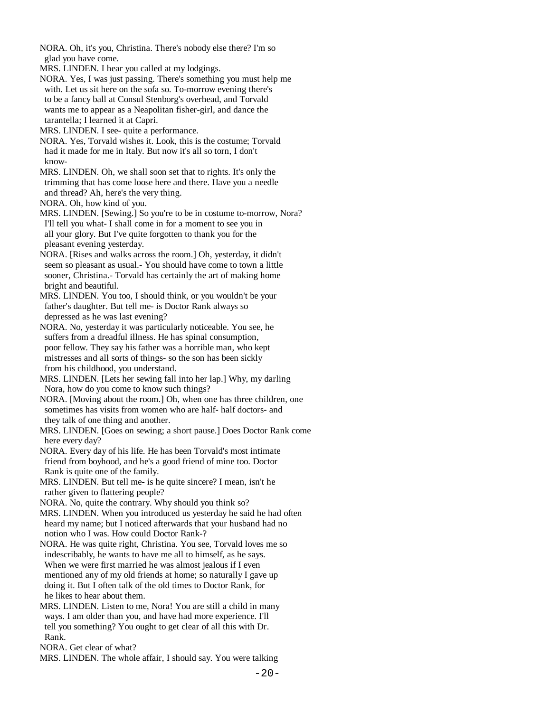NORA. Oh, it's you, Christina. There's nobody else there? I'm so glad you have come.

MRS. LINDEN. I hear you called at my lodgings.

 NORA. Yes, I was just passing. There's something you must help me with. Let us sit here on the sofa so. To-morrow evening there's to be a fancy ball at Consul Stenborg's overhead, and Torvald wants me to appear as a Neapolitan fisher-girl, and dance the tarantella; I learned it at Capri.

MRS. LINDEN. I see- quite a performance.

 NORA. Yes, Torvald wishes it. Look, this is the costume; Torvald had it made for me in Italy. But now it's all so torn, I don't know-

 MRS. LINDEN. Oh, we shall soon set that to rights. It's only the trimming that has come loose here and there. Have you a needle and thread? Ah, here's the very thing.

NORA. Oh, how kind of you.

 MRS. LINDEN. [Sewing.] So you're to be in costume to-morrow, Nora? I'll tell you what- I shall come in for a moment to see you in all your glory. But I've quite forgotten to thank you for the pleasant evening yesterday.

 NORA. [Rises and walks across the room.] Oh, yesterday, it didn't seem so pleasant as usual.- You should have come to town a little sooner, Christina.- Torvald has certainly the art of making home bright and beautiful.

 MRS. LINDEN. You too, I should think, or you wouldn't be your father's daughter. But tell me- is Doctor Rank always so depressed as he was last evening?

 NORA. No, yesterday it was particularly noticeable. You see, he suffers from a dreadful illness. He has spinal consumption, poor fellow. They say his father was a horrible man, who kept mistresses and all sorts of things- so the son has been sickly from his childhood, you understand.

 MRS. LINDEN. [Lets her sewing fall into her lap.] Why, my darling Nora, how do you come to know such things?

 NORA. [Moving about the room.] Oh, when one has three children, one sometimes has visits from women who are half- half doctors- and they talk of one thing and another.

 MRS. LINDEN. [Goes on sewing; a short pause.] Does Doctor Rank come here every day?

 NORA. Every day of his life. He has been Torvald's most intimate friend from boyhood, and he's a good friend of mine too. Doctor Rank is quite one of the family.

 MRS. LINDEN. But tell me- is he quite sincere? I mean, isn't he rather given to flattering people?

NORA. No, quite the contrary. Why should you think so?

 MRS. LINDEN. When you introduced us yesterday he said he had often heard my name; but I noticed afterwards that your husband had no notion who I was. How could Doctor Rank-?

 NORA. He was quite right, Christina. You see, Torvald loves me so indescribably, he wants to have me all to himself, as he says. When we were first married he was almost jealous if I even mentioned any of my old friends at home; so naturally I gave up doing it. But I often talk of the old times to Doctor Rank, for he likes to hear about them.

 MRS. LINDEN. Listen to me, Nora! You are still a child in many ways. I am older than you, and have had more experience. I'll tell you something? You ought to get clear of all this with Dr. Rank.

NORA. Get clear of what?

MRS. LINDEN. The whole affair, I should say. You were talking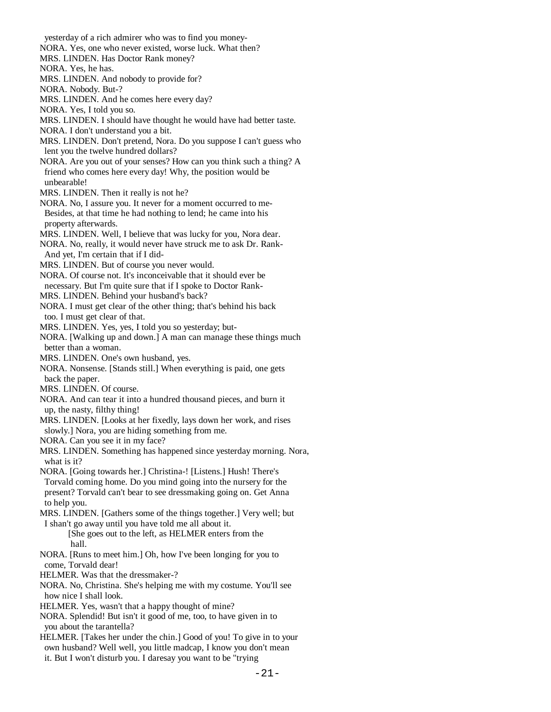yesterday of a rich admirer who was to find you money- NORA. Yes, one who never existed, worse luck. What then? MRS. LINDEN. Has Doctor Rank money? NORA. Yes, he has. MRS. LINDEN. And nobody to provide for? NORA. Nobody. But-? MRS. LINDEN. And he comes here every day? NORA. Yes, I told you so. MRS. LINDEN. I should have thought he would have had better taste. NORA. I don't understand you a bit. MRS. LINDEN. Don't pretend, Nora. Do you suppose I can't guess who lent you the twelve hundred dollars? NORA. Are you out of your senses? How can you think such a thing? A friend who comes here every day! Why, the position would be unbearable! MRS. LINDEN. Then it really is not he? NORA. No, I assure you. It never for a moment occurred to me- Besides, at that time he had nothing to lend; he came into his property afterwards. MRS. LINDEN. Well, I believe that was lucky for you, Nora dear. NORA. No, really, it would never have struck me to ask Dr. Rank- And yet, I'm certain that if I did- MRS. LINDEN. But of course you never would. NORA. Of course not. It's inconceivable that it should ever be necessary. But I'm quite sure that if I spoke to Doctor Rank- MRS. LINDEN. Behind your husband's back? NORA. I must get clear of the other thing; that's behind his back too. I must get clear of that. MRS. LINDEN. Yes, yes, I told you so yesterday; but- NORA. [Walking up and down.] A man can manage these things much better than a woman. MRS. LINDEN. One's own husband, yes. NORA. Nonsense. [Stands still.] When everything is paid, one gets back the paper. MRS. LINDEN. Of course. NORA. And can tear it into a hundred thousand pieces, and burn it up, the nasty, filthy thing! MRS. LINDEN. [Looks at her fixedly, lays down her work, and rises slowly.] Nora, you are hiding something from me. NORA. Can you see it in my face? MRS. LINDEN. Something has happened since yesterday morning. Nora, what is it? NORA. [Going towards her.] Christina-! [Listens.] Hush! There's Torvald coming home. Do you mind going into the nursery for the present? Torvald can't bear to see dressmaking going on. Get Anna to help you. MRS. LINDEN. [Gathers some of the things together.] Very well; but I shan't go away until you have told me all about it. [She goes out to the left, as HELMER enters from the hall. NORA. [Runs to meet him.] Oh, how I've been longing for you to come, Torvald dear! HELMER. Was that the dressmaker-? NORA. No, Christina. She's helping me with my costume. You'll see how nice I shall look. HELMER. Yes, wasn't that a happy thought of mine? NORA. Splendid! But isn't it good of me, too, to have given in to you about the tarantella? HELMER. [Takes her under the chin.] Good of you! To give in to your own husband? Well well, you little madcap, I know you don't mean it. But I won't disturb you. I daresay you want to be "trying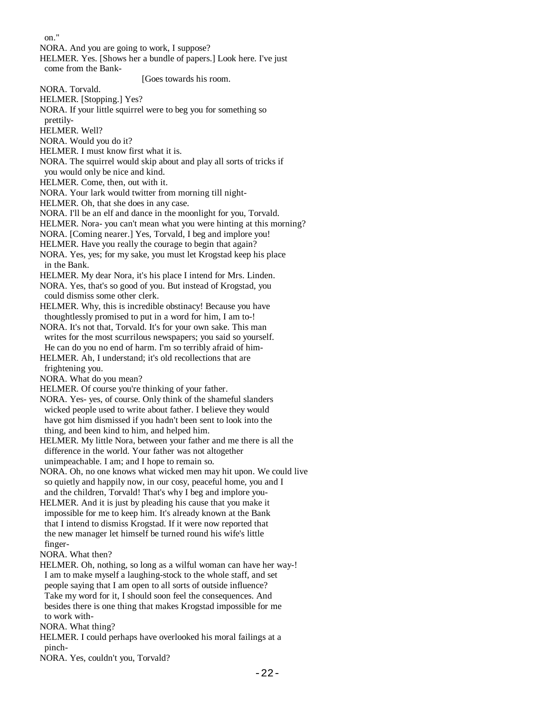on."

NORA. And you are going to work, I suppose?

 HELMER. Yes. [Shows her a bundle of papers.] Look here. I've just come from the Bank-

[Goes towards his room.

NORA. Torvald.

HELMER. [Stopping.] Yes?

NORA. If your little squirrel were to beg you for something so

prettily-

HELMER. Well?

NORA. Would you do it?

HELMER. I must know first what it is.

NORA. The squirrel would skip about and play all sorts of tricks if

you would only be nice and kind.

HELMER. Come, then, out with it.

NORA. Your lark would twitter from morning till night-

HELMER. Oh, that she does in any case.

NORA. I'll be an elf and dance in the moonlight for you, Torvald.

HELMER. Nora- you can't mean what you were hinting at this morning?

NORA. [Coming nearer.] Yes, Torvald, I beg and implore you!

HELMER. Have you really the courage to begin that again?

 NORA. Yes, yes; for my sake, you must let Krogstad keep his place in the Bank.

HELMER. My dear Nora, it's his place I intend for Mrs. Linden.

 NORA. Yes, that's so good of you. But instead of Krogstad, you could dismiss some other clerk.

 HELMER. Why, this is incredible obstinacy! Because you have thoughtlessly promised to put in a word for him, I am to-!

 NORA. It's not that, Torvald. It's for your own sake. This man writes for the most scurrilous newspapers; you said so yourself. He can do you no end of harm. I'm so terribly afraid of him-

 HELMER. Ah, I understand; it's old recollections that are frightening you.

NORA. What do you mean?

HELMER. Of course you're thinking of your father.

 NORA. Yes- yes, of course. Only think of the shameful slanders wicked people used to write about father. I believe they would have got him dismissed if you hadn't been sent to look into the thing, and been kind to him, and helped him.

 HELMER. My little Nora, between your father and me there is all the difference in the world. Your father was not altogether unimpeachable. I am; and I hope to remain so.

 NORA. Oh, no one knows what wicked men may hit upon. We could live so quietly and happily now, in our cosy, peaceful home, you and I and the children, Torvald! That's why I beg and implore you-

 HELMER. And it is just by pleading his cause that you make it impossible for me to keep him. It's already known at the Bank that I intend to dismiss Krogstad. If it were now reported that the new manager let himself be turned round his wife's little finger-

NORA. What then?

 HELMER. Oh, nothing, so long as a wilful woman can have her way-! I am to make myself a laughing-stock to the whole staff, and set people saying that I am open to all sorts of outside influence? Take my word for it, I should soon feel the consequences. And besides there is one thing that makes Krogstad impossible for me to work with-

NORA. What thing?

 HELMER. I could perhaps have overlooked his moral failings at a pinch-

NORA. Yes, couldn't you, Torvald?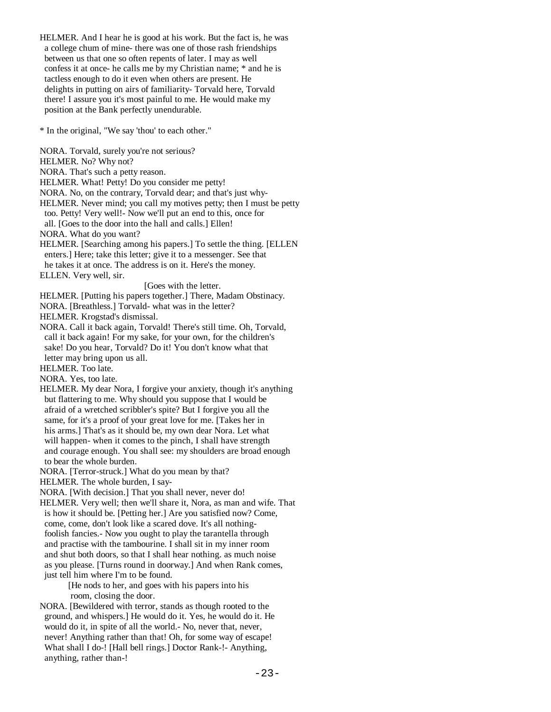HELMER. And I hear he is good at his work. But the fact is, he was a college chum of mine- there was one of those rash friendships between us that one so often repents of later. I may as well confess it at once- he calls me by my Christian name; \* and he is tactless enough to do it even when others are present. He delights in putting on airs of familiarity- Torvald here, Torvald there! I assure you it's most painful to me. He would make my position at the Bank perfectly unendurable.

\* In the original, "We say 'thou' to each other."

 NORA. Torvald, surely you're not serious? HELMER. No? Why not? NORA. That's such a petty reason. HELMER. What! Petty! Do you consider me petty! NORA. No, on the contrary, Torvald dear; and that's just why- HELMER. Never mind; you call my motives petty; then I must be petty too. Petty! Very well!- Now we'll put an end to this, once for all. [Goes to the door into the hall and calls.] Ellen! NORA. What do you want? HELMER. [Searching among his papers.] To settle the thing. [ELLEN enters.] Here; take this letter; give it to a messenger. See that he takes it at once. The address is on it. Here's the money. ELLEN. Very well, sir. [Goes with the letter. HELMER. [Putting his papers together.] There, Madam Obstinacy. NORA. [Breathless.] Torvald- what was in the letter? HELMER. Krogstad's dismissal. NORA. Call it back again, Torvald! There's still time. Oh, Torvald, call it back again! For my sake, for your own, for the children's sake! Do you hear, Torvald? Do it! You don't know what that letter may bring upon us all. HELMER. Too late. NORA. Yes, too late. HELMER. My dear Nora, I forgive your anxiety, though it's anything but flattering to me. Why should you suppose that I would be afraid of a wretched scribbler's spite? But I forgive you all the same, for it's a proof of your great love for me. [Takes her in his arms.] That's as it should be, my own dear Nora. Let what will happen- when it comes to the pinch, I shall have strength and courage enough. You shall see: my shoulders are broad enough to bear the whole burden. NORA. [Terror-struck.] What do you mean by that? HELMER. The whole burden, I say- NORA. [With decision.] That you shall never, never do! HELMER. Very well; then we'll share it, Nora, as man and wife. That is how it should be. [Petting her.] Are you satisfied now? Come, come, come, don't look like a scared dove. It's all nothing foolish fancies.- Now you ought to play the tarantella through and practise with the tambourine. I shall sit in my inner room and shut both doors, so that I shall hear nothing. as much noise as you please. [Turns round in doorway.] And when Rank comes, just tell him where I'm to be found. [He nods to her, and goes with his papers into his room, closing the door. NORA. [Bewildered with terror, stands as though rooted to the ground, and whispers.] He would do it. Yes, he would do it. He

 would do it, in spite of all the world.- No, never that, never, never! Anything rather than that! Oh, for some way of escape! What shall I do-! [Hall bell rings.] Doctor Rank-!- Anything, anything, rather than-!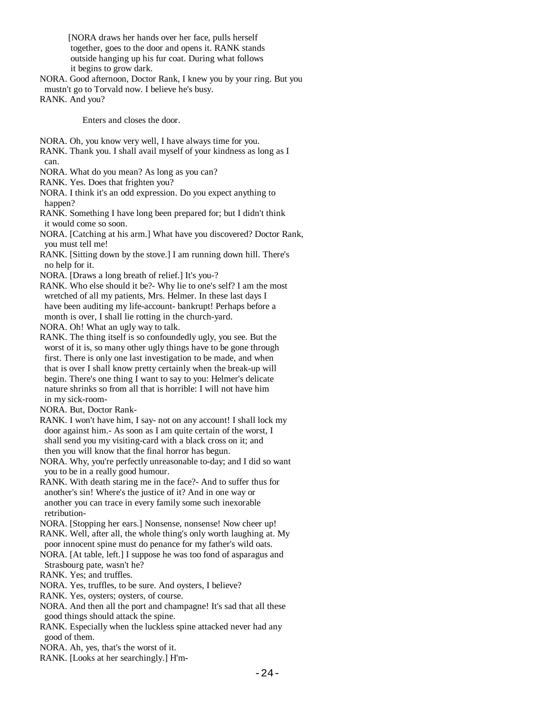[NORA draws her hands over her face, pulls herself together, goes to the door and opens it. RANK stands outside hanging up his fur coat. During what follows it begins to grow dark.

 NORA. Good afternoon, Doctor Rank, I knew you by your ring. But you mustn't go to Torvald now. I believe he's busy.

RANK. And you?

Enters and closes the door.

- NORA. Oh, you know very well, I have always time for you.
- RANK. Thank you. I shall avail myself of your kindness as long as I can.
- NORA. What do you mean? As long as you can?
- RANK. Yes. Does that frighten you?
- NORA. I think it's an odd expression. Do you expect anything to happen?
- RANK. Something I have long been prepared for; but I didn't think it would come so soon.
- NORA. [Catching at his arm.] What have you discovered? Doctor Rank, you must tell me!
- RANK. [Sitting down by the stove.] I am running down hill. There's no help for it.
- NORA. [Draws a long breath of relief.] It's you-?
- RANK. Who else should it be?- Why lie to one's self? I am the most wretched of all my patients, Mrs. Helmer. In these last days I have been auditing my life-account- bankrupt! Perhaps before a month is over, I shall lie rotting in the church-yard.
- NORA. Oh! What an ugly way to talk.
- RANK. The thing itself is so confoundedly ugly, you see. But the worst of it is, so many other ugly things have to be gone through first. There is only one last investigation to be made, and when that is over I shall know pretty certainly when the break-up will begin. There's one thing I want to say to you: Helmer's delicate nature shrinks so from all that is horrible: I will not have him in my sick-room-
- NORA. But, Doctor Rank-
- RANK. I won't have him, I say- not on any account! I shall lock my door against him.- As soon as I am quite certain of the worst, I shall send you my visiting-card with a black cross on it; and then you will know that the final horror has begun.
- NORA. Why, you're perfectly unreasonable to-day; and I did so want you to be in a really good humour.
- RANK. With death staring me in the face?- And to suffer thus for another's sin! Where's the justice of it? And in one way or another you can trace in every family some such inexorable retribution-
- NORA. [Stopping her ears.] Nonsense, nonsense! Now cheer up! RANK. Well, after all, the whole thing's only worth laughing at. My
- poor innocent spine must do penance for my father's wild oats.
- NORA. [At table, left.] I suppose he was too fond of asparagus and Strasbourg pate, wasn't he?
- RANK. Yes; and truffles.
- NORA. Yes, truffles, to be sure. And oysters, I believe?
- RANK. Yes, oysters; oysters, of course.
- NORA. And then all the port and champagne! It's sad that all these good things should attack the spine.
- RANK. Especially when the luckless spine attacked never had any good of them.
- NORA. Ah, yes, that's the worst of it.
- RANK. [Looks at her searchingly.] H'm-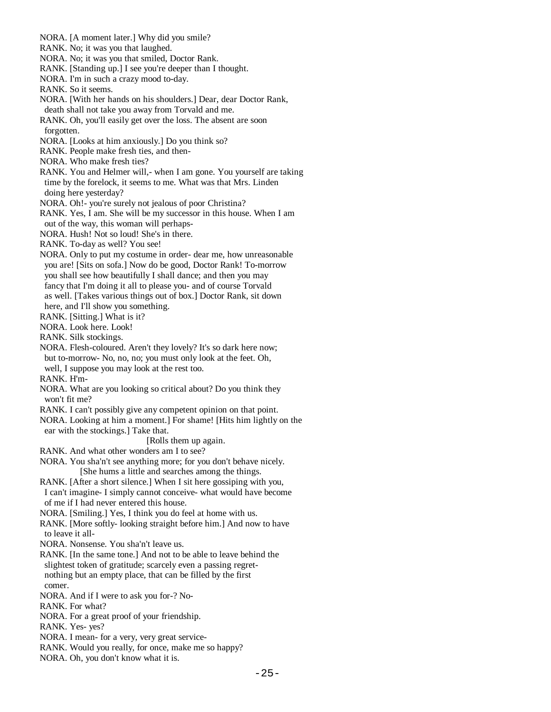- NORA. [A moment later.] Why did you smile? RANK. No; it was you that laughed. NORA. No; it was you that smiled, Doctor Rank. RANK. [Standing up.] I see you're deeper than I thought. NORA. I'm in such a crazy mood to-day. RANK. So it seems. NORA. [With her hands on his shoulders.] Dear, dear Doctor Rank, death shall not take you away from Torvald and me. RANK. Oh, you'll easily get over the loss. The absent are soon forgotten. NORA. [Looks at him anxiously.] Do you think so? RANK. People make fresh ties, and then- NORA. Who make fresh ties? RANK. You and Helmer will,- when I am gone. You yourself are taking time by the forelock, it seems to me. What was that Mrs. Linden doing here yesterday? NORA. Oh!- you're surely not jealous of poor Christina? RANK. Yes, I am. She will be my successor in this house. When I am out of the way, this woman will perhaps- NORA. Hush! Not so loud! She's in there. RANK. To-day as well? You see! NORA. Only to put my costume in order- dear me, how unreasonable you are! [Sits on sofa.] Now do be good, Doctor Rank! To-morrow you shall see how beautifully I shall dance; and then you may fancy that I'm doing it all to please you- and of course Torvald as well. [Takes various things out of box.] Doctor Rank, sit down here, and I'll show you something. RANK. [Sitting.] What is it? NORA. Look here. Look! RANK. Silk stockings. NORA. Flesh-coloured. Aren't they lovely? It's so dark here now; but to-morrow- No, no, no; you must only look at the feet. Oh, well, I suppose you may look at the rest too. RANK. H'm- NORA. What are you looking so critical about? Do you think they won't fit me? RANK. I can't possibly give any competent opinion on that point. NORA. Looking at him a moment.] For shame! [Hits him lightly on the ear with the stockings.] Take that. [Rolls them up again. RANK. And what other wonders am I to see? NORA. You sha'n't see anything more; for you don't behave nicely. [She hums a little and searches among the things. RANK. [After a short silence.] When I sit here gossiping with you, I can't imagine- I simply cannot conceive- what would have become of me if I had never entered this house. NORA. [Smiling.] Yes, I think you do feel at home with us. RANK. [More softly- looking straight before him.] And now to have to leave it all- NORA. Nonsense. You sha'n't leave us. RANK. [In the same tone.] And not to be able to leave behind the slightest token of gratitude; scarcely even a passing regret nothing but an empty place, that can be filled by the first comer. NORA. And if I were to ask you for-? No- RANK. For what? NORA. For a great proof of your friendship. RANK. Yes- yes? NORA. I mean- for a very, very great service- RANK. Would you really, for once, make me so happy?
- NORA. Oh, you don't know what it is.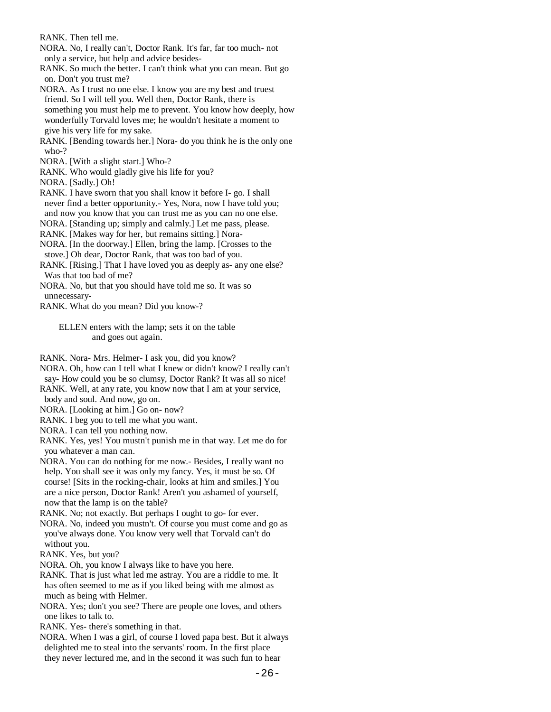RANK. Then tell me.

- NORA. No, I really can't, Doctor Rank. It's far, far too much- not only a service, but help and advice besides-
- RANK. So much the better. I can't think what you can mean. But go on. Don't you trust me?
- NORA. As I trust no one else. I know you are my best and truest friend. So I will tell you. Well then, Doctor Rank, there is something you must help me to prevent. You know how deeply, how wonderfully Torvald loves me; he wouldn't hesitate a moment to give his very life for my sake.
- RANK. [Bending towards her.] Nora- do you think he is the only one who-?
- NORA. [With a slight start.] Who-?
- RANK. Who would gladly give his life for you?

NORA. [Sadly.] Oh!

- RANK. I have sworn that you shall know it before I- go. I shall never find a better opportunity.- Yes, Nora, now I have told you; and now you know that you can trust me as you can no one else.
- NORA. [Standing up; simply and calmly.] Let me pass, please.
- RANK. [Makes way for her, but remains sitting.] Nora-
- NORA. [In the doorway.] Ellen, bring the lamp. [Crosses to the stove.] Oh dear, Doctor Rank, that was too bad of you.
- RANK. [Rising.] That I have loved you as deeply as- any one else? Was that too bad of me?
- NORA. No, but that you should have told me so. It was so unnecessary-
- RANK. What do you mean? Did you know-?

 ELLEN enters with the lamp; sets it on the table and goes out again.

RANK. Nora- Mrs. Helmer- I ask you, did you know?

- NORA. Oh, how can I tell what I knew or didn't know? I really can't say- How could you be so clumsy, Doctor Rank? It was all so nice!
- RANK. Well, at any rate, you know now that I am at your service,
- body and soul. And now, go on.
- NORA. [Looking at him.] Go on- now?
- RANK. I beg you to tell me what you want.
- NORA. I can tell you nothing now.
- RANK. Yes, yes! You mustn't punish me in that way. Let me do for you whatever a man can.
- NORA. You can do nothing for me now.- Besides, I really want no help. You shall see it was only my fancy. Yes, it must be so. Of course! [Sits in the rocking-chair, looks at him and smiles.] You are a nice person, Doctor Rank! Aren't you ashamed of yourself, now that the lamp is on the table?
- RANK. No; not exactly. But perhaps I ought to go- for ever.
- NORA. No, indeed you mustn't. Of course you must come and go as you've always done. You know very well that Torvald can't do without you.
- RANK. Yes, but you?
- NORA. Oh, you know I always like to have you here.
- RANK. That is just what led me astray. You are a riddle to me. It has often seemed to me as if you liked being with me almost as much as being with Helmer.
- NORA. Yes; don't you see? There are people one loves, and others one likes to talk to.

RANK. Yes- there's something in that.

 NORA. When I was a girl, of course I loved papa best. But it always delighted me to steal into the servants' room. In the first place they never lectured me, and in the second it was such fun to hear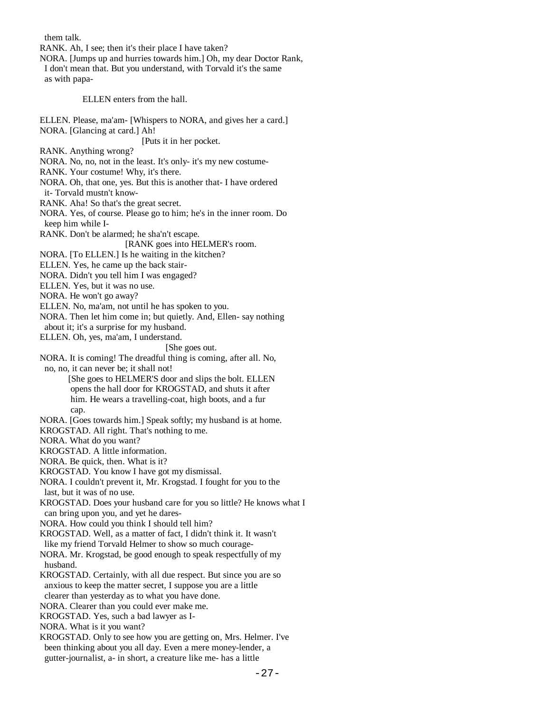them talk. RANK. Ah, I see; then it's their place I have taken? NORA. [Jumps up and hurries towards him.] Oh, my dear Doctor Rank, I don't mean that. But you understand, with Torvald it's the same as with papa- ELLEN enters from the hall. ELLEN. Please, ma'am- [Whispers to NORA, and gives her a card.] NORA. [Glancing at card.] Ah! [Puts it in her pocket. RANK. Anything wrong? NORA. No, no, not in the least. It's only- it's my new costume- RANK. Your costume! Why, it's there. NORA. Oh, that one, yes. But this is another that- I have ordered it- Torvald mustn't know- RANK. Aha! So that's the great secret. NORA. Yes, of course. Please go to him; he's in the inner room. Do keep him while I- RANK. Don't be alarmed; he sha'n't escape. [RANK goes into HELMER's room. NORA. [To ELLEN.] Is he waiting in the kitchen? ELLEN. Yes, he came up the back stair- NORA. Didn't you tell him I was engaged? ELLEN. Yes, but it was no use. NORA. He won't go away? ELLEN. No, ma'am, not until he has spoken to you. NORA. Then let him come in; but quietly. And, Ellen- say nothing about it; it's a surprise for my husband. ELLEN. Oh, yes, ma'am, I understand. [She goes out. NORA. It is coming! The dreadful thing is coming, after all. No, no, no, it can never be; it shall not! [She goes to HELMER'S door and slips the bolt. ELLEN opens the hall door for KROGSTAD, and shuts it after him. He wears a travelling-coat, high boots, and a fur cap. NORA. [Goes towards him.] Speak softly; my husband is at home. KROGSTAD. All right. That's nothing to me. NORA. What do you want? KROGSTAD. A little information. NORA. Be quick, then. What is it? KROGSTAD. You know I have got my dismissal. NORA. I couldn't prevent it, Mr. Krogstad. I fought for you to the last, but it was of no use. KROGSTAD. Does your husband care for you so little? He knows what I can bring upon you, and yet he dares- NORA. How could you think I should tell him? KROGSTAD. Well, as a matter of fact, I didn't think it. It wasn't like my friend Torvald Helmer to show so much courage- NORA. Mr. Krogstad, be good enough to speak respectfully of my husband. KROGSTAD. Certainly, with all due respect. But since you are so anxious to keep the matter secret, I suppose you are a little clearer than yesterday as to what you have done. NORA. Clearer than you could ever make me. KROGSTAD. Yes, such a bad lawyer as I- NORA. What is it you want? KROGSTAD. Only to see how you are getting on, Mrs. Helmer. I've been thinking about you all day. Even a mere money-lender, a gutter-journalist, a- in short, a creature like me- has a little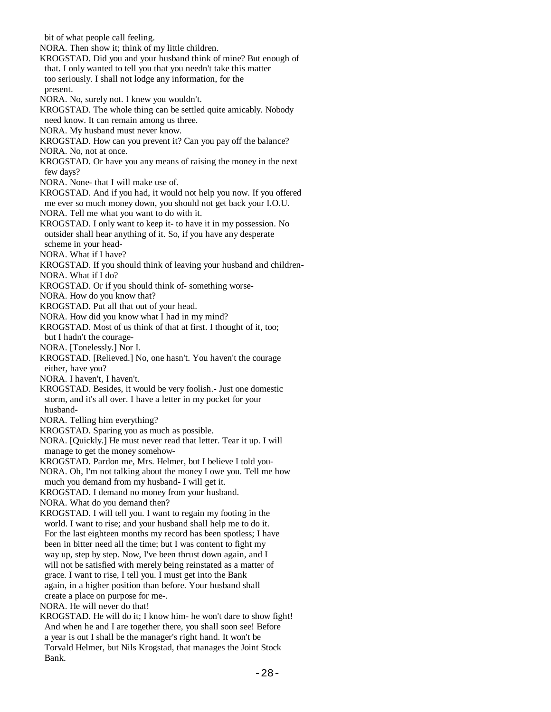bit of what people call feeling. NORA. Then show it; think of my little children. KROGSTAD. Did you and your husband think of mine? But enough of that. I only wanted to tell you that you needn't take this matter too seriously. I shall not lodge any information, for the present. NORA. No, surely not. I knew you wouldn't. KROGSTAD. The whole thing can be settled quite amicably. Nobody need know. It can remain among us three. NORA. My husband must never know. KROGSTAD. How can you prevent it? Can you pay off the balance? NORA. No, not at once. KROGSTAD. Or have you any means of raising the money in the next few days? NORA. None- that I will make use of. KROGSTAD. And if you had, it would not help you now. If you offered me ever so much money down, you should not get back your I.O.U. NORA. Tell me what you want to do with it. KROGSTAD. I only want to keep it- to have it in my possession. No outsider shall hear anything of it. So, if you have any desperate scheme in your head- NORA. What if I have? KROGSTAD. If you should think of leaving your husband and children- NORA. What if I do? KROGSTAD. Or if you should think of- something worse- NORA. How do you know that? KROGSTAD. Put all that out of your head. NORA. How did you know what I had in my mind? KROGSTAD. Most of us think of that at first. I thought of it, too; but I hadn't the courage- NORA. [Tonelessly.] Nor I. KROGSTAD. [Relieved.] No, one hasn't. You haven't the courage either, have you? NORA. I haven't, I haven't. KROGSTAD. Besides, it would be very foolish.- Just one domestic storm, and it's all over. I have a letter in my pocket for your husband- NORA. Telling him everything? KROGSTAD. Sparing you as much as possible. NORA. [Quickly.] He must never read that letter. Tear it up. I will manage to get the money somehow- KROGSTAD. Pardon me, Mrs. Helmer, but I believe I told you- NORA. Oh, I'm not talking about the money I owe you. Tell me how much you demand from my husband- I will get it. KROGSTAD. I demand no money from your husband. NORA. What do you demand then? KROGSTAD. I will tell you. I want to regain my footing in the world. I want to rise; and your husband shall help me to do it. For the last eighteen months my record has been spotless; I have been in bitter need all the time; but I was content to fight my way up, step by step. Now, I've been thrust down again, and I will not be satisfied with merely being reinstated as a matter of grace. I want to rise, I tell you. I must get into the Bank again, in a higher position than before. Your husband shall create a place on purpose for me-. NORA. He will never do that! KROGSTAD. He will do it; I know him- he won't dare to show fight! And when he and I are together there, you shall soon see! Before a year is out I shall be the manager's right hand. It won't be Torvald Helmer, but Nils Krogstad, that manages the Joint Stock Bank.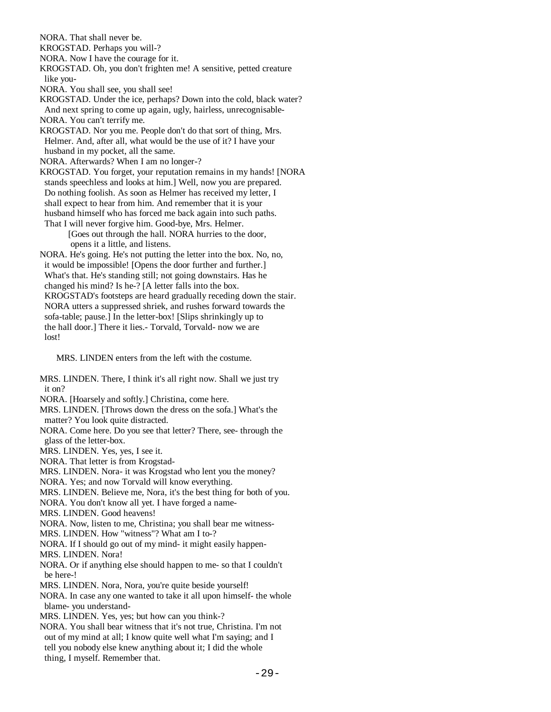NORA. That shall never be.

KROGSTAD. Perhaps you will-?

NORA. Now I have the courage for it.

 KROGSTAD. Oh, you don't frighten me! A sensitive, petted creature like you-

NORA. You shall see, you shall see!

 KROGSTAD. Under the ice, perhaps? Down into the cold, black water? And next spring to come up again, ugly, hairless, unrecognisable-

NORA. You can't terrify me.

 KROGSTAD. Nor you me. People don't do that sort of thing, Mrs. Helmer. And, after all, what would be the use of it? I have your husband in my pocket, all the same.

NORA. Afterwards? When I am no longer-?

 KROGSTAD. You forget, your reputation remains in my hands! [NORA stands speechless and looks at him.] Well, now you are prepared. Do nothing foolish. As soon as Helmer has received my letter, I shall expect to hear from him. And remember that it is your husband himself who has forced me back again into such paths. That I will never forgive him. Good-bye, Mrs. Helmer.

 [Goes out through the hall. NORA hurries to the door, opens it a little, and listens.

 NORA. He's going. He's not putting the letter into the box. No, no, it would be impossible! [Opens the door further and further.] What's that. He's standing still; not going downstairs. Has he changed his mind? Is he-? [A letter falls into the box. KROGSTAD's footsteps are heard gradually receding down the stair. NORA utters a suppressed shriek, and rushes forward towards the sofa-table; pause.] In the letter-box! [Slips shrinkingly up to the hall door.] There it lies.- Torvald, Torvald- now we are lost!

MRS. LINDEN enters from the left with the costume.

 MRS. LINDEN. There, I think it's all right now. Shall we just try it on?

NORA. [Hoarsely and softly.] Christina, come here.

 MRS. LINDEN. [Throws down the dress on the sofa.] What's the matter? You look quite distracted.

 NORA. Come here. Do you see that letter? There, see- through the glass of the letter-box.

MRS. LINDEN. Yes, yes, I see it.

NORA. That letter is from Krogstad-

MRS. LINDEN. Nora- it was Krogstad who lent you the money?

NORA. Yes; and now Torvald will know everything.

MRS. LINDEN. Believe me, Nora, it's the best thing for both of you.

NORA. You don't know all yet. I have forged a name-

MRS. LINDEN. Good heavens!

NORA. Now, listen to me, Christina; you shall bear me witness-

MRS. LINDEN. How "witness"? What am I to-?

NORA. If I should go out of my mind- it might easily happen-

MRS. LINDEN. Nora!

 NORA. Or if anything else should happen to me- so that I couldn't be here-!

MRS. LINDEN. Nora, Nora, you're quite beside yourself!

 NORA. In case any one wanted to take it all upon himself- the whole blame- you understand-

MRS. LINDEN. Yes, yes; but how can you think-?

 NORA. You shall bear witness that it's not true, Christina. I'm not out of my mind at all; I know quite well what I'm saying; and I tell you nobody else knew anything about it; I did the whole thing, I myself. Remember that.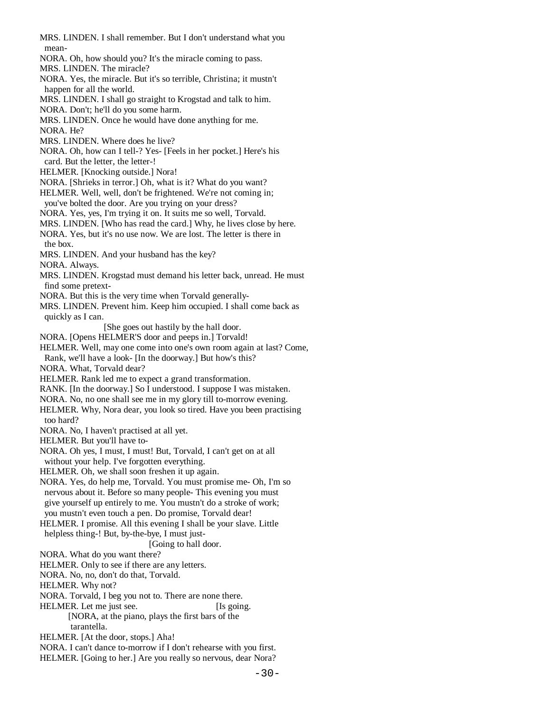MRS. LINDEN. I shall remember. But I don't understand what you mean- NORA. Oh, how should you? It's the miracle coming to pass. MRS. LINDEN. The miracle? NORA. Yes, the miracle. But it's so terrible, Christina; it mustn't happen for all the world. MRS. LINDEN. I shall go straight to Krogstad and talk to him. NORA. Don't; he'll do you some harm. MRS. LINDEN. Once he would have done anything for me. NORA. He? MRS. LINDEN. Where does he live? NORA. Oh, how can I tell-? Yes- [Feels in her pocket.] Here's his card. But the letter, the letter-! HELMER. [Knocking outside.] Nora! NORA. [Shrieks in terror.] Oh, what is it? What do you want? HELMER. Well, well, don't be frightened. We're not coming in; you've bolted the door. Are you trying on your dress? NORA. Yes, yes, I'm trying it on. It suits me so well, Torvald. MRS. LINDEN. [Who has read the card.] Why, he lives close by here. NORA. Yes, but it's no use now. We are lost. The letter is there in the box. MRS. LINDEN. And your husband has the key? NORA. Always. MRS. LINDEN. Krogstad must demand his letter back, unread. He must find some pretext- NORA. But this is the very time when Torvald generally- MRS. LINDEN. Prevent him. Keep him occupied. I shall come back as quickly as I can. [She goes out hastily by the hall door. NORA. [Opens HELMER'S door and peeps in.] Torvald! HELMER. Well, may one come into one's own room again at last? Come, Rank, we'll have a look- [In the doorway.] But how's this? NORA. What, Torvald dear? HELMER. Rank led me to expect a grand transformation. RANK. [In the doorway.] So I understood. I suppose I was mistaken. NORA. No, no one shall see me in my glory till to-morrow evening. HELMER. Why, Nora dear, you look so tired. Have you been practising too hard? NORA. No, I haven't practised at all yet. HELMER. But you'll have to- NORA. Oh yes, I must, I must! But, Torvald, I can't get on at all without your help. I've forgotten everything. HELMER. Oh, we shall soon freshen it up again. NORA. Yes, do help me, Torvald. You must promise me- Oh, I'm so nervous about it. Before so many people- This evening you must give yourself up entirely to me. You mustn't do a stroke of work; you mustn't even touch a pen. Do promise, Torvald dear! HELMER. I promise. All this evening I shall be your slave. Little helpless thing-! But, by-the-bye, I must just- [Going to hall door. NORA. What do you want there? HELMER. Only to see if there are any letters. NORA. No, no, don't do that, Torvald. HELMER. Why not? NORA. Torvald, I beg you not to. There are none there. HELMER. Let me just see. [Is going.] [NORA, at the piano, plays the first bars of the tarantella. HELMER. [At the door, stops.] Aha! NORA. I can't dance to-morrow if I don't rehearse with you first. HELMER. [Going to her.] Are you really so nervous, dear Nora?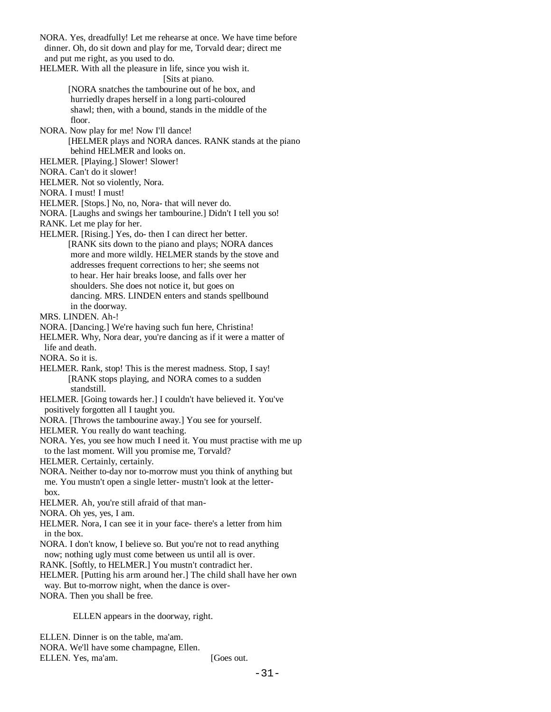NORA. Yes, dreadfully! Let me rehearse at once. We have time before dinner. Oh, do sit down and play for me, Torvald dear; direct me and put me right, as you used to do. HELMER. With all the pleasure in life, since you wish it. [Sits at piano. [NORA snatches the tambourine out of he box, and hurriedly drapes herself in a long parti-coloured shawl; then, with a bound, stands in the middle of the floor. NORA. Now play for me! Now I'll dance! [HELMER plays and NORA dances. RANK stands at the piano behind HELMER and looks on. HELMER. [Playing.] Slower! Slower! NORA. Can't do it slower! HELMER. Not so violently, Nora. NORA. I must! I must!

HELMER. [Stops.] No, no, Nora- that will never do.

 NORA. [Laughs and swings her tambourine.] Didn't I tell you so! RANK. Let me play for her.

HELMER. [Rising.] Yes, do- then I can direct her better.

 [RANK sits down to the piano and plays; NORA dances more and more wildly. HELMER stands by the stove and addresses frequent corrections to her; she seems not to hear. Her hair breaks loose, and falls over her shoulders. She does not notice it, but goes on dancing. MRS. LINDEN enters and stands spellbound in the doorway.

MRS. LINDEN. Ah-!

NORA. [Dancing.] We're having such fun here, Christina!

 HELMER. Why, Nora dear, you're dancing as if it were a matter of life and death.

NORA. So it is.

HELMER. Rank, stop! This is the merest madness. Stop, I say! [RANK stops playing, and NORA comes to a sudden standstill.

 HELMER. [Going towards her.] I couldn't have believed it. You've positively forgotten all I taught you.

NORA. [Throws the tambourine away.] You see for yourself.

HELMER. You really do want teaching.

 NORA. Yes, you see how much I need it. You must practise with me up to the last moment. Will you promise me, Torvald?

HELMER. Certainly, certainly.

 NORA. Neither to-day nor to-morrow must you think of anything but me. You mustn't open a single letter- mustn't look at the letter-

box.

HELMER. Ah, you're still afraid of that man-

NORA. Oh yes, yes, I am.

 HELMER. Nora, I can see it in your face- there's a letter from him in the box.

NORA. I don't know, I believe so. But you're not to read anything

now; nothing ugly must come between us until all is over.

RANK. [Softly, to HELMER.] You mustn't contradict her.

HELMER. [Putting his arm around her.] The child shall have her own

way. But to-morrow night, when the dance is over-

NORA. Then you shall be free.

ELLEN appears in the doorway, right.

 ELLEN. Dinner is on the table, ma'am. NORA. We'll have some champagne, Ellen. ELLEN. Yes, ma'am. [Goes out.]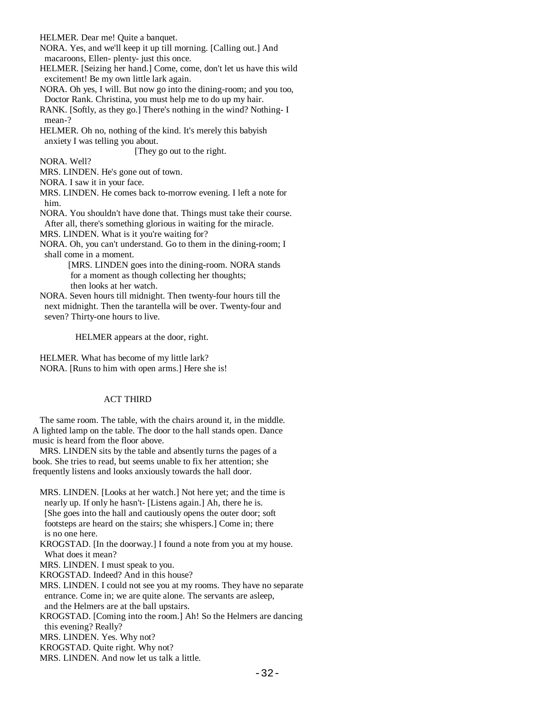HELMER. Dear me! Quite a banquet.

 NORA. Yes, and we'll keep it up till morning. [Calling out.] And macaroons, Ellen- plenty- just this once.

 HELMER. [Seizing her hand.] Come, come, don't let us have this wild excitement! Be my own little lark again.

 NORA. Oh yes, I will. But now go into the dining-room; and you too, Doctor Rank. Christina, you must help me to do up my hair.

 RANK. [Softly, as they go.] There's nothing in the wind? Nothing- I mean-?

 HELMER. Oh no, nothing of the kind. It's merely this babyish anxiety I was telling you about.

[They go out to the right.

NORA. Well?

MRS. LINDEN. He's gone out of town.

NORA. I saw it in your face.

 MRS. LINDEN. He comes back to-morrow evening. I left a note for him.

NORA. You shouldn't have done that. Things must take their course.

After all, there's something glorious in waiting for the miracle.

MRS. LINDEN. What is it you're waiting for?

 NORA. Oh, you can't understand. Go to them in the dining-room; I shall come in a moment.

> [MRS. LINDEN goes into the dining-room. NORA stands for a moment as though collecting her thoughts; then looks at her watch.

 NORA. Seven hours till midnight. Then twenty-four hours till the next midnight. Then the tarantella will be over. Twenty-four and seven? Thirty-one hours to live.

HELMER appears at the door, right.

 HELMER. What has become of my little lark? NORA. [Runs to him with open arms.] Here she is!

# ACT THIRD

 The same room. The table, with the chairs around it, in the middle. A lighted lamp on the table. The door to the hall stands open. Dance music is heard from the floor above.

 MRS. LINDEN sits by the table and absently turns the pages of a book. She tries to read, but seems unable to fix her attention; she frequently listens and looks anxiously towards the hall door.

 MRS. LINDEN. [Looks at her watch.] Not here yet; and the time is nearly up. If only he hasn't- [Listens again.] Ah, there he is. [She goes into the hall and cautiously opens the outer door; soft footsteps are heard on the stairs; she whispers.] Come in; there is no one here.

 KROGSTAD. [In the doorway.] I found a note from you at my house. What does it mean?

MRS. LINDEN. I must speak to you.

KROGSTAD. Indeed? And in this house?

 MRS. LINDEN. I could not see you at my rooms. They have no separate entrance. Come in; we are quite alone. The servants are asleep, and the Helmers are at the ball upstairs.

 KROGSTAD. [Coming into the room.] Ah! So the Helmers are dancing this evening? Really?

MRS. LINDEN. Yes. Why not?

KROGSTAD. Quite right. Why not?

MRS. LINDEN. And now let us talk a little.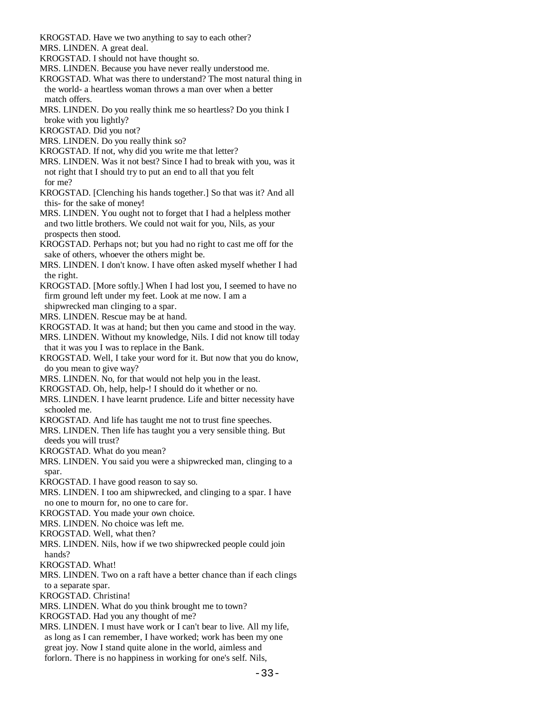KROGSTAD. Have we two anything to say to each other?

MRS. LINDEN. A great deal.

KROGSTAD. I should not have thought so.

MRS. LINDEN. Because you have never really understood me.

- KROGSTAD. What was there to understand? The most natural thing in the world- a heartless woman throws a man over when a better match offers.
- MRS. LINDEN. Do you really think me so heartless? Do you think I broke with you lightly?
- KROGSTAD. Did you not?

MRS. LINDEN. Do you really think so?

- KROGSTAD. If not, why did you write me that letter?
- MRS. LINDEN. Was it not best? Since I had to break with you, was it not right that I should try to put an end to all that you felt
- for me?
- KROGSTAD. [Clenching his hands together.] So that was it? And all this- for the sake of money!
- MRS. LINDEN. You ought not to forget that I had a helpless mother and two little brothers. We could not wait for you, Nils, as your prospects then stood.
- KROGSTAD. Perhaps not; but you had no right to cast me off for the sake of others, whoever the others might be.
- MRS. LINDEN. I don't know. I have often asked myself whether I had the right.
- KROGSTAD. [More softly.] When I had lost you, I seemed to have no firm ground left under my feet. Look at me now. I am a

shipwrecked man clinging to a spar.

MRS. LINDEN. Rescue may be at hand.

KROGSTAD. It was at hand; but then you came and stood in the way.

 MRS. LINDEN. Without my knowledge, Nils. I did not know till today that it was you I was to replace in the Bank.

- KROGSTAD. Well, I take your word for it. But now that you do know, do you mean to give way?
- MRS. LINDEN. No, for that would not help you in the least.
- KROGSTAD. Oh, help, help-! I should do it whether or no.
- MRS. LINDEN. I have learnt prudence. Life and bitter necessity have schooled me.
- KROGSTAD. And life has taught me not to trust fine speeches.
- MRS. LINDEN. Then life has taught you a very sensible thing. But deeds you will trust?

KROGSTAD. What do you mean?

 MRS. LINDEN. You said you were a shipwrecked man, clinging to a spar.

KROGSTAD. I have good reason to say so.

 MRS. LINDEN. I too am shipwrecked, and clinging to a spar. I have no one to mourn for, no one to care for.

KROGSTAD. You made your own choice.

MRS. LINDEN. No choice was left me.

KROGSTAD. Well, what then?

 MRS. LINDEN. Nils, how if we two shipwrecked people could join hands?

KROGSTAD. What!

MRS. LINDEN. Two on a raft have a better chance than if each clings

to a separate spar.

KROGSTAD. Christina!

MRS. LINDEN. What do you think brought me to town?

KROGSTAD. Had you any thought of me?

 MRS. LINDEN. I must have work or I can't bear to live. All my life, as long as I can remember, I have worked; work has been my one great joy. Now I stand quite alone in the world, aimless and forlorn. There is no happiness in working for one's self. Nils,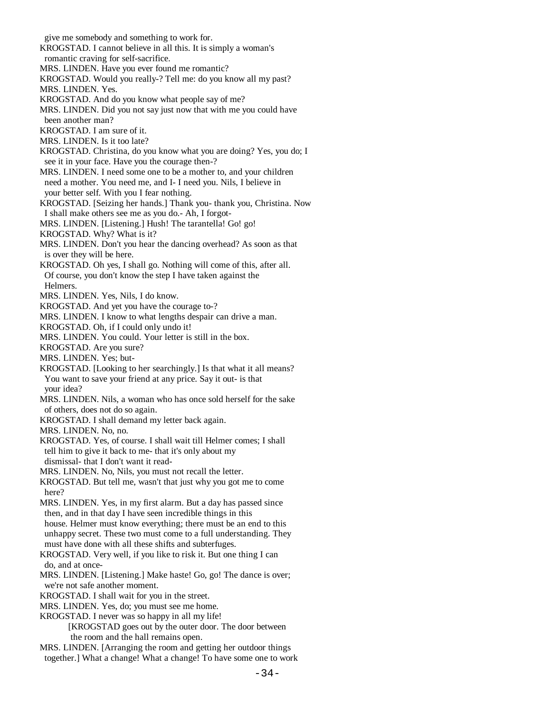give me somebody and something to work for. KROGSTAD. I cannot believe in all this. It is simply a woman's romantic craving for self-sacrifice. MRS. LINDEN. Have you ever found me romantic? KROGSTAD. Would you really-? Tell me: do you know all my past? MRS. LINDEN. Yes. KROGSTAD. And do you know what people say of me? MRS. LINDEN. Did you not say just now that with me you could have been another man? KROGSTAD. I am sure of it. MRS. LINDEN. Is it too late? KROGSTAD. Christina, do you know what you are doing? Yes, you do; I see it in your face. Have you the courage then-? MRS. LINDEN. I need some one to be a mother to, and your children need a mother. You need me, and I- I need you. Nils, I believe in your better self. With you I fear nothing. KROGSTAD. [Seizing her hands.] Thank you- thank you, Christina. Now I shall make others see me as you do.- Ah, I forgot- MRS. LINDEN. [Listening.] Hush! The tarantella! Go! go! KROGSTAD. Why? What is it? MRS. LINDEN. Don't you hear the dancing overhead? As soon as that is over they will be here. KROGSTAD. Oh yes, I shall go. Nothing will come of this, after all. Of course, you don't know the step I have taken against the Helmers. MRS. LINDEN. Yes, Nils, I do know. KROGSTAD. And yet you have the courage to-? MRS. LINDEN. I know to what lengths despair can drive a man. KROGSTAD. Oh, if I could only undo it! MRS. LINDEN. You could. Your letter is still in the box. KROGSTAD. Are you sure? MRS. LINDEN. Yes; but- KROGSTAD. [Looking to her searchingly.] Is that what it all means? You want to save your friend at any price. Say it out- is that your idea? MRS. LINDEN. Nils, a woman who has once sold herself for the sake of others, does not do so again. KROGSTAD. I shall demand my letter back again. MRS. LINDEN. No, no. KROGSTAD. Yes, of course. I shall wait till Helmer comes; I shall tell him to give it back to me- that it's only about my dismissal- that I don't want it read- MRS. LINDEN. No, Nils, you must not recall the letter. KROGSTAD. But tell me, wasn't that just why you got me to come here? MRS. LINDEN. Yes, in my first alarm. But a day has passed since then, and in that day I have seen incredible things in this house. Helmer must know everything; there must be an end to this unhappy secret. These two must come to a full understanding. They must have done with all these shifts and subterfuges. KROGSTAD. Very well, if you like to risk it. But one thing I can do, and at once- MRS. LINDEN. [Listening.] Make haste! Go, go! The dance is over; we're not safe another moment. KROGSTAD. I shall wait for you in the street. MRS. LINDEN. Yes, do; you must see me home. KROGSTAD. I never was so happy in all my life! [KROGSTAD goes out by the outer door. The door between the room and the hall remains open. MRS. LINDEN. [Arranging the room and getting her outdoor things together.] What a change! What a change! To have some one to work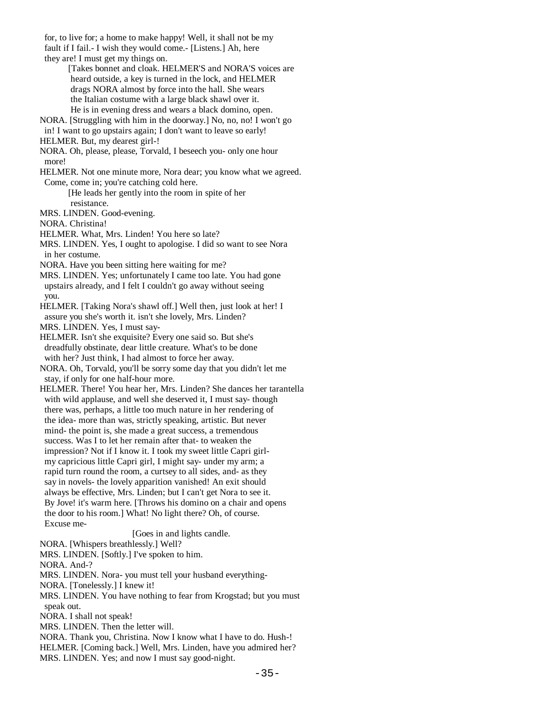for, to live for; a home to make happy! Well, it shall not be my fault if I fail.- I wish they would come.- [Listens.] Ah, here they are! I must get my things on.

 [Takes bonnet and cloak. HELMER'S and NORA'S voices are heard outside, a key is turned in the lock, and HELMER drags NORA almost by force into the hall. She wears the Italian costume with a large black shawl over it. He is in evening dress and wears a black domino, open.

NORA. [Struggling with him in the doorway.] No, no, no! I won't go

in! I want to go upstairs again; I don't want to leave so early!

 NORA. Oh, please, please, Torvald, I beseech you- only one hour more!

 HELMER. Not one minute more, Nora dear; you know what we agreed. Come, come in; you're catching cold here.

> [He leads her gently into the room in spite of her resistance.

MRS. LINDEN. Good-evening.

NORA. Christina!

HELMER. What, Mrs. Linden! You here so late?

 MRS. LINDEN. Yes, I ought to apologise. I did so want to see Nora in her costume.

NORA. Have you been sitting here waiting for me?

 MRS. LINDEN. Yes; unfortunately I came too late. You had gone upstairs already, and I felt I couldn't go away without seeing you.

 HELMER. [Taking Nora's shawl off.] Well then, just look at her! I assure you she's worth it. isn't she lovely, Mrs. Linden?

MRS. LINDEN. Yes, I must say-

 HELMER. Isn't she exquisite? Every one said so. But she's dreadfully obstinate, dear little creature. What's to be done with her? Just think, I had almost to force her away.

 NORA. Oh, Torvald, you'll be sorry some day that you didn't let me stay, if only for one half-hour more.

 HELMER. There! You hear her, Mrs. Linden? She dances her tarantella with wild applause, and well she deserved it, I must say- though there was, perhaps, a little too much nature in her rendering of the idea- more than was, strictly speaking, artistic. But never mind- the point is, she made a great success, a tremendous success. Was I to let her remain after that- to weaken the impression? Not if I know it. I took my sweet little Capri girl my capricious little Capri girl, I might say- under my arm; a rapid turn round the room, a curtsey to all sides, and- as they say in novels- the lovely apparition vanished! An exit should always be effective, Mrs. Linden; but I can't get Nora to see it. By Jove! it's warm here. [Throws his domino on a chair and opens the door to his room.] What! No light there? Oh, of course. Excuse me-

[Goes in and lights candle.

NORA. [Whispers breathlessly.] Well?

MRS. LINDEN. [Softly.] I've spoken to him.

NORA. And-?

MRS. LINDEN. Nora- you must tell your husband everything-

NORA. [Tonelessly.] I knew it!

 MRS. LINDEN. You have nothing to fear from Krogstad; but you must speak out.

NORA. I shall not speak!

MRS. LINDEN. Then the letter will.

 NORA. Thank you, Christina. Now I know what I have to do. Hush-! HELMER. [Coming back.] Well, Mrs. Linden, have you admired her? MRS. LINDEN. Yes; and now I must say good-night.

HELMER. But, my dearest girl-!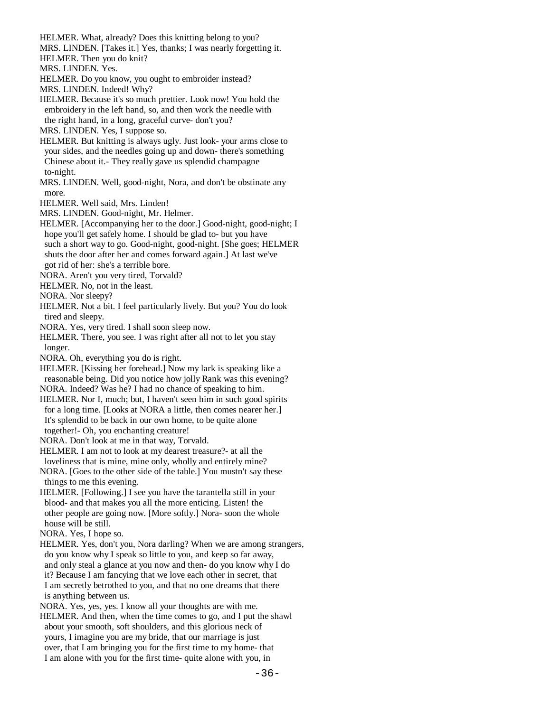HELMER. What, already? Does this knitting belong to you?

MRS. LINDEN. [Takes it.] Yes, thanks; I was nearly forgetting it.

HELMER. Then you do knit?

MRS. LINDEN. Yes.

- HELMER. Do you know, you ought to embroider instead?
- MRS. LINDEN. Indeed! Why?

 HELMER. Because it's so much prettier. Look now! You hold the embroidery in the left hand, so, and then work the needle with the right hand, in a long, graceful curve- don't you?

MRS. LINDEN. Yes, I suppose so.

 HELMER. But knitting is always ugly. Just look- your arms close to your sides, and the needles going up and down- there's something Chinese about it.- They really gave us splendid champagne to-night.

 MRS. LINDEN. Well, good-night, Nora, and don't be obstinate any more.

HELMER. Well said, Mrs. Linden!

MRS. LINDEN. Good-night, Mr. Helmer.

 HELMER. [Accompanying her to the door.] Good-night, good-night; I hope you'll get safely home. I should be glad to- but you have such a short way to go. Good-night, good-night. [She goes; HELMER shuts the door after her and comes forward again.] At last we've got rid of her: she's a terrible bore.

NORA. Aren't you very tired, Torvald?

HELMER. No, not in the least.

NORA. Nor sleepy?

 HELMER. Not a bit. I feel particularly lively. But you? You do look tired and sleepy.

NORA. Yes, very tired. I shall soon sleep now.

 HELMER. There, you see. I was right after all not to let you stay longer.

NORA. Oh, everything you do is right.

 HELMER. [Kissing her forehead.] Now my lark is speaking like a reasonable being. Did you notice how jolly Rank was this evening? NORA. Indeed? Was he? I had no chance of speaking to him.

 HELMER. Nor I, much; but, I haven't seen him in such good spirits for a long time. [Looks at NORA a little, then comes nearer her.] It's splendid to be back in our own home, to be quite alone together!- Oh, you enchanting creature!

NORA. Don't look at me in that way, Torvald.

 HELMER. I am not to look at my dearest treasure?- at all the loveliness that is mine, mine only, wholly and entirely mine?

 NORA. [Goes to the other side of the table.] You mustn't say these things to me this evening.

 HELMER. [Following.] I see you have the tarantella still in your blood- and that makes you all the more enticing. Listen! the other people are going now. [More softly.] Nora- soon the whole house will be still.

NORA. Yes, I hope so.

 HELMER. Yes, don't you, Nora darling? When we are among strangers, do you know why I speak so little to you, and keep so far away, and only steal a glance at you now and then- do you know why I do it? Because I am fancying that we love each other in secret, that I am secretly betrothed to you, and that no one dreams that there is anything between us.

 NORA. Yes, yes, yes. I know all your thoughts are with me. HELMER. And then, when the time comes to go, and I put the shawl about your smooth, soft shoulders, and this glorious neck of yours, I imagine you are my bride, that our marriage is just over, that I am bringing you for the first time to my home- that I am alone with you for the first time- quite alone with you, in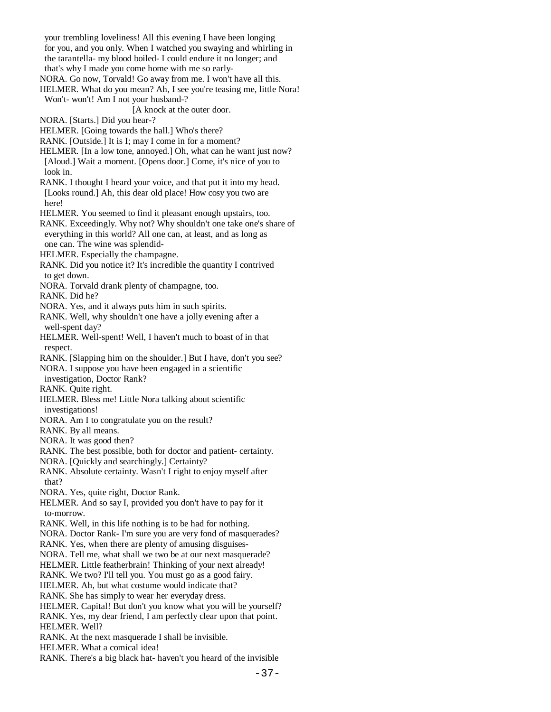your trembling loveliness! All this evening I have been longing for you, and you only. When I watched you swaying and whirling in the tarantella- my blood boiled- I could endure it no longer; and

that's why I made you come home with me so early-

NORA. Go now, Torvald! Go away from me. I won't have all this.

HELMER. What do you mean? Ah, I see you're teasing me, little Nora! Won't- won't! Am I not your husband-?

[A knock at the outer door.

NORA. [Starts.] Did you hear-?

HELMER. [Going towards the hall.] Who's there?

RANK. [Outside.] It is I; may I come in for a moment?

HELMER. [In a low tone, annoyed.] Oh, what can he want just now? [Aloud.] Wait a moment. [Opens door.] Come, it's nice of you to look in.

 RANK. I thought I heard your voice, and that put it into my head. [Looks round.] Ah, this dear old place! How cosy you two are here!

HELMER. You seemed to find it pleasant enough upstairs, too.

 RANK. Exceedingly. Why not? Why shouldn't one take one's share of everything in this world? All one can, at least, and as long as one can. The wine was splendid-

HELMER. Especially the champagne.

 RANK. Did you notice it? It's incredible the quantity I contrived to get down.

NORA. Torvald drank plenty of champagne, too.

RANK. Did he?

NORA. Yes, and it always puts him in such spirits.

 RANK. Well, why shouldn't one have a jolly evening after a well-spent day?

 HELMER. Well-spent! Well, I haven't much to boast of in that respect.

RANK. [Slapping him on the shoulder.] But I have, don't you see?

NORA. I suppose you have been engaged in a scientific

investigation, Doctor Rank?

RANK. Quite right.

 HELMER. Bless me! Little Nora talking about scientific investigations!

NORA. Am I to congratulate you on the result?

RANK. By all means.

NORA. It was good then?

RANK. The best possible, both for doctor and patient- certainty.

NORA. [Quickly and searchingly.] Certainty?

 RANK. Absolute certainty. Wasn't I right to enjoy myself after that?

NORA. Yes, quite right, Doctor Rank.

 HELMER. And so say I, provided you don't have to pay for it to-morrow.

RANK. Well, in this life nothing is to be had for nothing.

NORA. Doctor Rank- I'm sure you are very fond of masquerades?

RANK. Yes, when there are plenty of amusing disguises-

NORA. Tell me, what shall we two be at our next masquerade?

HELMER. Little featherbrain! Thinking of your next already!

RANK. We two? I'll tell you. You must go as a good fairy.

HELMER. Ah, but what costume would indicate that?

RANK. She has simply to wear her everyday dress.

 HELMER. Capital! But don't you know what you will be yourself? RANK. Yes, my dear friend, I am perfectly clear upon that point.

HELMER. Well?

RANK. At the next masquerade I shall be invisible.

HELMER. What a comical idea!

RANK. There's a big black hat- haven't you heard of the invisible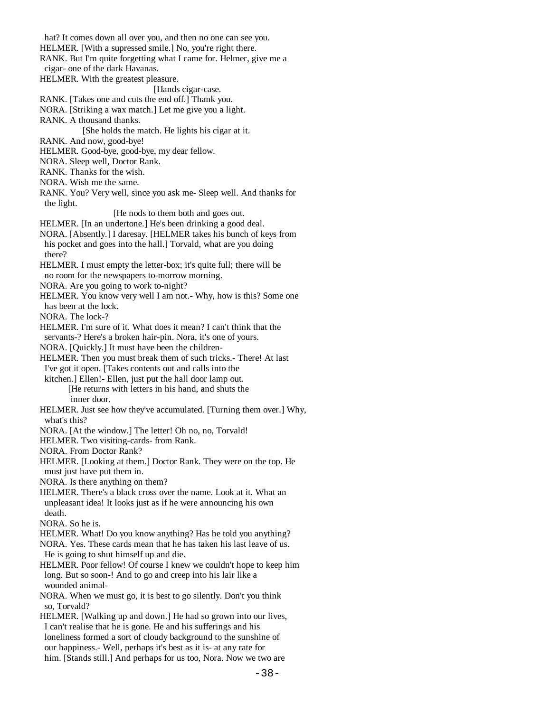hat? It comes down all over you, and then no one can see you. HELMER. [With a supressed smile.] No, you're right there. RANK. But I'm quite forgetting what I came for. Helmer, give me a cigar- one of the dark Havanas. HELMER. With the greatest pleasure. [Hands cigar-case. RANK. [Takes one and cuts the end off.] Thank you. NORA. [Striking a wax match.] Let me give you a light. RANK. A thousand thanks. [She holds the match. He lights his cigar at it. RANK. And now, good-bye! HELMER. Good-bye, good-bye, my dear fellow. NORA. Sleep well, Doctor Rank. RANK. Thanks for the wish. NORA. Wish me the same. RANK. You? Very well, since you ask me- Sleep well. And thanks for the light. [He nods to them both and goes out. HELMER. [In an undertone.] He's been drinking a good deal. NORA. [Absently.] I daresay. [HELMER takes his bunch of keys from his pocket and goes into the hall.] Torvald, what are you doing there? HELMER. I must empty the letter-box; it's quite full; there will be no room for the newspapers to-morrow morning. NORA. Are you going to work to-night? HELMER. You know very well I am not.- Why, how is this? Some one has been at the lock. NORA. The lock-? HELMER. I'm sure of it. What does it mean? I can't think that the servants-? Here's a broken hair-pin. Nora, it's one of yours. NORA. [Quickly.] It must have been the children- HELMER. Then you must break them of such tricks.- There! At last I've got it open. [Takes contents out and calls into the kitchen.] Ellen!- Ellen, just put the hall door lamp out. [He returns with letters in his hand, and shuts the inner door. HELMER. Just see how they've accumulated. [Turning them over.] Why, what's this? NORA. [At the window.] The letter! Oh no, no, Torvald! HELMER. Two visiting-cards- from Rank. NORA. From Doctor Rank? HELMER. [Looking at them.] Doctor Rank. They were on the top. He must just have put them in. NORA. Is there anything on them? HELMER. There's a black cross over the name. Look at it. What an unpleasant idea! It looks just as if he were announcing his own death. NORA. So he is. HELMER. What! Do you know anything? Has he told you anything? NORA. Yes. These cards mean that he has taken his last leave of us. He is going to shut himself up and die. HELMER. Poor fellow! Of course I knew we couldn't hope to keep him long. But so soon-! And to go and creep into his lair like a wounded animal- NORA. When we must go, it is best to go silently. Don't you think so, Torvald? HELMER. [Walking up and down.] He had so grown into our lives, I can't realise that he is gone. He and his sufferings and his loneliness formed a sort of cloudy background to the sunshine of our happiness.- Well, perhaps it's best as it is- at any rate for him. [Stands still.] And perhaps for us too, Nora. Now we two are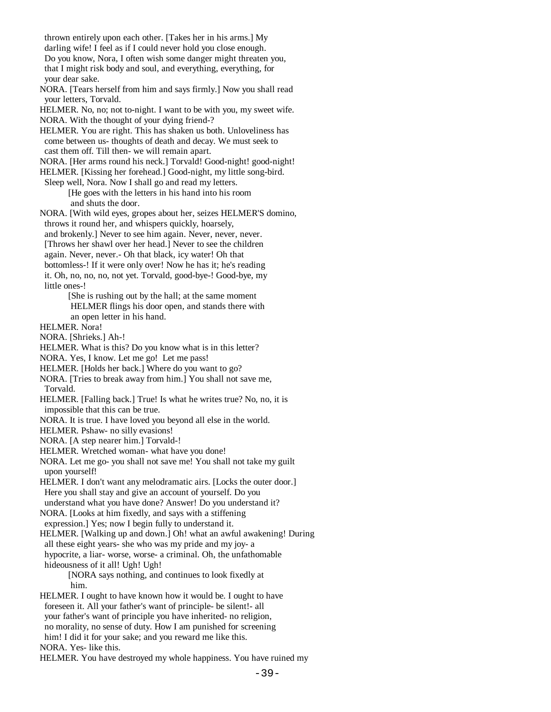thrown entirely upon each other. [Takes her in his arms.] My darling wife! I feel as if I could never hold you close enough. Do you know, Nora, I often wish some danger might threaten you, that I might risk body and soul, and everything, everything, for your dear sake. NORA. [Tears herself from him and says firmly.] Now you shall read your letters, Torvald. HELMER. No, no; not to-night. I want to be with you, my sweet wife. NORA. With the thought of your dying friend-? HELMER. You are right. This has shaken us both. Unloveliness has come between us- thoughts of death and decay. We must seek to cast them off. Till then- we will remain apart. NORA. [Her arms round his neck.] Torvald! Good-night! good-night! HELMER. [Kissing her forehead.] Good-night, my little song-bird. Sleep well, Nora. Now I shall go and read my letters. [He goes with the letters in his hand into his room and shuts the door. NORA. [With wild eyes, gropes about her, seizes HELMER'S domino, throws it round her, and whispers quickly, hoarsely, and brokenly.] Never to see him again. Never, never, never. [Throws her shawl over her head.] Never to see the children again. Never, never.- Oh that black, icy water! Oh that bottomless-! If it were only over! Now he has it; he's reading it. Oh, no, no, no, not yet. Torvald, good-bye-! Good-bye, my little ones-! [She is rushing out by the hall; at the same moment HELMER flings his door open, and stands there with an open letter in his hand. HELMER. Nora! NORA. [Shrieks.] Ah-! HELMER. What is this? Do you know what is in this letter? NORA. Yes, I know. Let me go! Let me pass! HELMER. [Holds her back.] Where do you want to go? NORA. [Tries to break away from him.] You shall not save me, Torvald. HELMER. [Falling back.] True! Is what he writes true? No, no, it is impossible that this can be true. NORA. It is true. I have loved you beyond all else in the world. HELMER. Pshaw- no silly evasions! NORA. [A step nearer him.] Torvald-! HELMER. Wretched woman- what have you done! NORA. Let me go- you shall not save me! You shall not take my guilt upon yourself! HELMER. I don't want any melodramatic airs. [Locks the outer door.] Here you shall stay and give an account of yourself. Do you understand what you have done? Answer! Do you understand it? NORA. [Looks at him fixedly, and says with a stiffening expression.] Yes; now I begin fully to understand it. HELMER. [Walking up and down.] Oh! what an awful awakening! During all these eight years- she who was my pride and my joy- a hypocrite, a liar- worse, worse- a criminal. Oh, the unfathomable hideousness of it all! Ugh! Ugh! [NORA says nothing, and continues to look fixedly at him. HELMER. I ought to have known how it would be. I ought to have foreseen it. All your father's want of principle- be silent!- all your father's want of principle you have inherited- no religion, no morality, no sense of duty. How I am punished for screening him! I did it for your sake; and you reward me like this. NORA. Yes- like this.

HELMER. You have destroyed my whole happiness. You have ruined my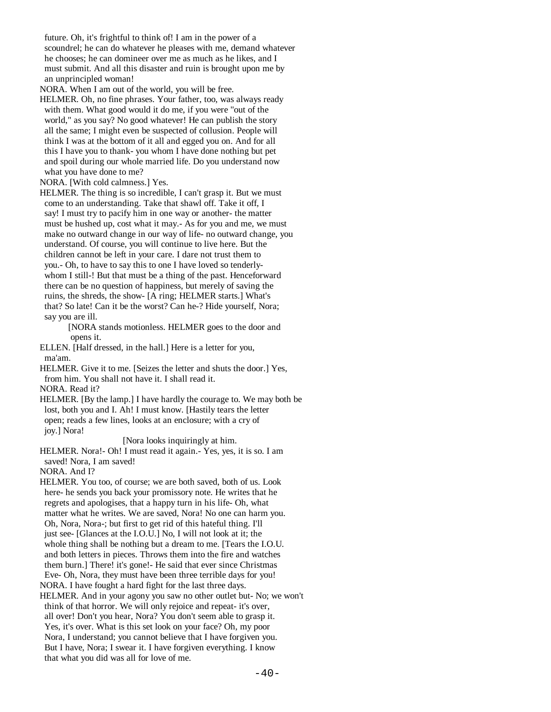future. Oh, it's frightful to think of! I am in the power of a scoundrel; he can do whatever he pleases with me, demand whatever he chooses; he can domineer over me as much as he likes, and I must submit. And all this disaster and ruin is brought upon me by an unprincipled woman!

NORA. When I am out of the world, you will be free.

 HELMER. Oh, no fine phrases. Your father, too, was always ready with them. What good would it do me, if you were "out of the world," as you say? No good whatever! He can publish the story all the same; I might even be suspected of collusion. People will think I was at the bottom of it all and egged you on. And for all this I have you to thank- you whom I have done nothing but pet and spoil during our whole married life. Do you understand now what you have done to me?

NORA. [With cold calmness.] Yes.

 HELMER. The thing is so incredible, I can't grasp it. But we must come to an understanding. Take that shawl off. Take it off, I say! I must try to pacify him in one way or another- the matter must be hushed up, cost what it may.- As for you and me, we must make no outward change in our way of life- no outward change, you understand. Of course, you will continue to live here. But the children cannot be left in your care. I dare not trust them to you.- Oh, to have to say this to one I have loved so tenderly whom I still-! But that must be a thing of the past. Henceforward there can be no question of happiness, but merely of saving the ruins, the shreds, the show- [A ring; HELMER starts.] What's that? So late! Can it be the worst? Can he-? Hide yourself, Nora; say you are ill.

> [NORA stands motionless. HELMER goes to the door and opens it.

 ELLEN. [Half dressed, in the hall.] Here is a letter for you, ma'am.

 HELMER. Give it to me. [Seizes the letter and shuts the door.] Yes, from him. You shall not have it. I shall read it.

NORA. Read it?

 HELMER. [By the lamp.] I have hardly the courage to. We may both be lost, both you and I. Ah! I must know. [Hastily tears the letter open; reads a few lines, looks at an enclosure; with a cry of joy.] Nora!

[Nora looks inquiringly at him.

 HELMER. Nora!- Oh! I must read it again.- Yes, yes, it is so. I am saved! Nora, I am saved!

NORA. And I?

 HELMER. You too, of course; we are both saved, both of us. Look here- he sends you back your promissory note. He writes that he regrets and apologises, that a happy turn in his life- Oh, what matter what he writes. We are saved, Nora! No one can harm you. Oh, Nora, Nora-; but first to get rid of this hateful thing. I'll just see- [Glances at the I.O.U.] No, I will not look at it; the whole thing shall be nothing but a dream to me. [Tears the I.O.U. and both letters in pieces. Throws them into the fire and watches them burn.] There! it's gone!- He said that ever since Christmas Eve- Oh, Nora, they must have been three terrible days for you! NORA. I have fought a hard fight for the last three days.

 HELMER. And in your agony you saw no other outlet but- No; we won't think of that horror. We will only rejoice and repeat- it's over, all over! Don't you hear, Nora? You don't seem able to grasp it. Yes, it's over. What is this set look on your face? Oh, my poor Nora, I understand; you cannot believe that I have forgiven you. But I have, Nora; I swear it. I have forgiven everything. I know that what you did was all for love of me.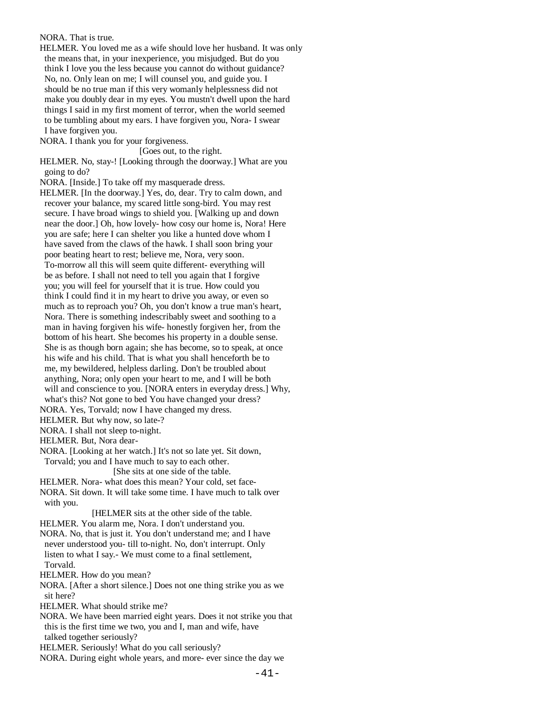### NORA. That is true.

 HELMER. You loved me as a wife should love her husband. It was only the means that, in your inexperience, you misjudged. But do you think I love you the less because you cannot do without guidance? No, no. Only lean on me; I will counsel you, and guide you. I should be no true man if this very womanly helplessness did not make you doubly dear in my eyes. You mustn't dwell upon the hard things I said in my first moment of terror, when the world seemed to be tumbling about my ears. I have forgiven you, Nora- I swear I have forgiven you.

NORA. I thank you for your forgiveness.

[Goes out, to the right.

 HELMER. No, stay-! [Looking through the doorway.] What are you going to do?

NORA. [Inside.] To take off my masquerade dress.

 HELMER. [In the doorway.] Yes, do, dear. Try to calm down, and recover your balance, my scared little song-bird. You may rest secure. I have broad wings to shield you. [Walking up and down near the door.] Oh, how lovely- how cosy our home is, Nora! Here you are safe; here I can shelter you like a hunted dove whom I have saved from the claws of the hawk. I shall soon bring your poor beating heart to rest; believe me, Nora, very soon. To-morrow all this will seem quite different- everything will be as before. I shall not need to tell you again that I forgive you; you will feel for yourself that it is true. How could you think I could find it in my heart to drive you away, or even so much as to reproach you? Oh, you don't know a true man's heart, Nora. There is something indescribably sweet and soothing to a man in having forgiven his wife- honestly forgiven her, from the bottom of his heart. She becomes his property in a double sense. She is as though born again; she has become, so to speak, at once his wife and his child. That is what you shall henceforth be to me, my bewildered, helpless darling. Don't be troubled about anything, Nora; only open your heart to me, and I will be both will and conscience to you. [NORA enters in everyday dress.] Why, what's this? Not gone to bed You have changed your dress?

NORA. Yes, Torvald; now I have changed my dress.

HELMER. But why now, so late-?

NORA. I shall not sleep to-night.

HELMER. But, Nora dear-

 NORA. [Looking at her watch.] It's not so late yet. Sit down, Torvald; you and I have much to say to each other.

[She sits at one side of the table.

 HELMER. Nora- what does this mean? Your cold, set face- NORA. Sit down. It will take some time. I have much to talk over with you.

[HELMER sits at the other side of the table.

HELMER. You alarm me, Nora. I don't understand you.

 NORA. No, that is just it. You don't understand me; and I have never understood you- till to-night. No, don't interrupt. Only listen to what I say.- We must come to a final settlement, Torvald.

HELMER. How do you mean?

 NORA. [After a short silence.] Does not one thing strike you as we sit here?

HELMER. What should strike me?

 NORA. We have been married eight years. Does it not strike you that this is the first time we two, you and I, man and wife, have talked together seriously?

HELMER. Seriously! What do you call seriously?

NORA. During eight whole years, and more- ever since the day we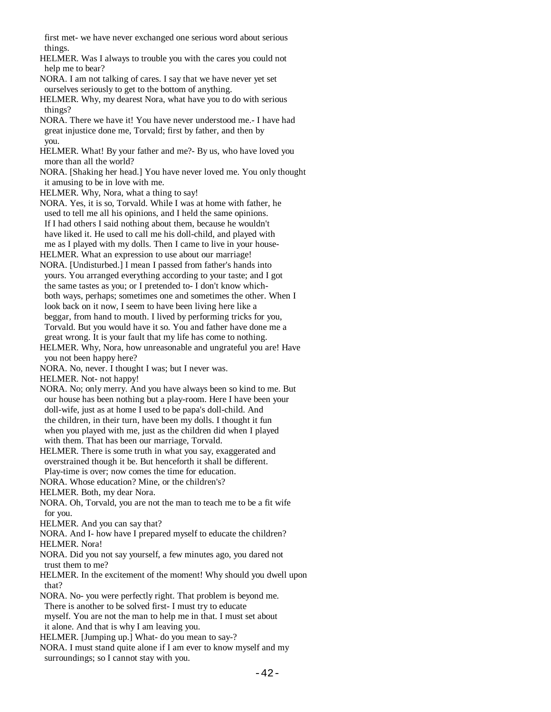first met- we have never exchanged one serious word about serious things.

 HELMER. Was I always to trouble you with the cares you could not help me to bear?

 NORA. I am not talking of cares. I say that we have never yet set ourselves seriously to get to the bottom of anything.

 HELMER. Why, my dearest Nora, what have you to do with serious things?

 NORA. There we have it! You have never understood me.- I have had great injustice done me, Torvald; first by father, and then by you.

 HELMER. What! By your father and me?- By us, who have loved you more than all the world?

 NORA. [Shaking her head.] You have never loved me. You only thought it amusing to be in love with me.

HELMER. Why, Nora, what a thing to say!

 NORA. Yes, it is so, Torvald. While I was at home with father, he used to tell me all his opinions, and I held the same opinions. If I had others I said nothing about them, because he wouldn't have liked it. He used to call me his doll-child, and played with me as I played with my dolls. Then I came to live in your house-

HELMER. What an expression to use about our marriage!

- NORA. [Undisturbed.] I mean I passed from father's hands into yours. You arranged everything according to your taste; and I got the same tastes as you; or I pretended to- I don't know which both ways, perhaps; sometimes one and sometimes the other. When I look back on it now, I seem to have been living here like a beggar, from hand to mouth. I lived by performing tricks for you, Torvald. But you would have it so. You and father have done me a great wrong. It is your fault that my life has come to nothing.
- HELMER. Why, Nora, how unreasonable and ungrateful you are! Have you not been happy here?
- NORA. No, never. I thought I was; but I never was.

HELMER. Not- not happy!

 NORA. No; only merry. And you have always been so kind to me. But our house has been nothing but a play-room. Here I have been your doll-wife, just as at home I used to be papa's doll-child. And the children, in their turn, have been my dolls. I thought it fun when you played with me, just as the children did when I played with them. That has been our marriage, Torvald.

 HELMER. There is some truth in what you say, exaggerated and overstrained though it be. But henceforth it shall be different. Play-time is over; now comes the time for education.

NORA. Whose education? Mine, or the children's?

HELMER. Both, my dear Nora.

- NORA. Oh, Torvald, you are not the man to teach me to be a fit wife for you.
- HELMER. And you can say that?

 NORA. And I- how have I prepared myself to educate the children? HELMER. Nora!

 NORA. Did you not say yourself, a few minutes ago, you dared not trust them to me?

 HELMER. In the excitement of the moment! Why should you dwell upon that?

 NORA. No- you were perfectly right. That problem is beyond me. There is another to be solved first- I must try to educate

 myself. You are not the man to help me in that. I must set about it alone. And that is why I am leaving you.

HELMER. [Jumping up.] What- do you mean to say-?

 NORA. I must stand quite alone if I am ever to know myself and my surroundings; so I cannot stay with you.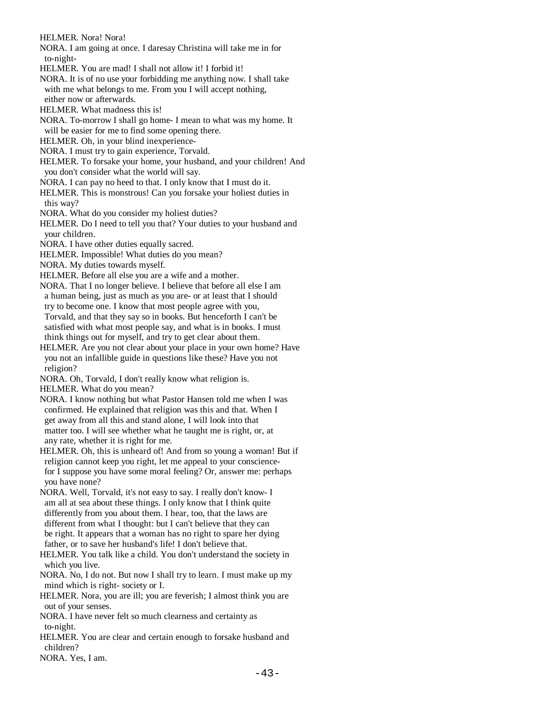HELMER. Nora! Nora!

 NORA. I am going at once. I daresay Christina will take me in for to-night-

- HELMER. You are mad! I shall not allow it! I forbid it!
- NORA. It is of no use your forbidding me anything now. I shall take with me what belongs to me. From you I will accept nothing, either now or afterwards.
- HELMER. What madness this is!
- NORA. To-morrow I shall go home- I mean to what was my home. It will be easier for me to find some opening there.
- HELMER. Oh, in your blind inexperience-
- NORA. I must try to gain experience, Torvald.
- HELMER. To forsake your home, your husband, and your children! And you don't consider what the world will say.
- NORA. I can pay no heed to that. I only know that I must do it.
- HELMER. This is monstrous! Can you forsake your holiest duties in this way?
- NORA. What do you consider my holiest duties?
- HELMER. Do I need to tell you that? Your duties to your husband and your children.
- NORA. I have other duties equally sacred.
- HELMER. Impossible! What duties do you mean?
- NORA. My duties towards myself.
- HELMER. Before all else you are a wife and a mother.
- NORA. That I no longer believe. I believe that before all else I am a human being, just as much as you are- or at least that I should try to become one. I know that most people agree with you, Torvald, and that they say so in books. But henceforth I can't be satisfied with what most people say, and what is in books. I must think things out for myself, and try to get clear about them.
- HELMER. Are you not clear about your place in your own home? Have you not an infallible guide in questions like these? Have you not religion?
- NORA. Oh, Torvald, I don't really know what religion is.
- HELMER. What do you mean?
- NORA. I know nothing but what Pastor Hansen told me when I was confirmed. He explained that religion was this and that. When I get away from all this and stand alone, I will look into that matter too. I will see whether what he taught me is right, or, at any rate, whether it is right for me.
- HELMER. Oh, this is unheard of! And from so young a woman! But if religion cannot keep you right, let me appeal to your conscience for I suppose you have some moral feeling? Or, answer me: perhaps you have none?
- NORA. Well, Torvald, it's not easy to say. I really don't know- I am all at sea about these things. I only know that I think quite differently from you about them. I hear, too, that the laws are different from what I thought: but I can't believe that they can be right. It appears that a woman has no right to spare her dying father, or to save her husband's life! I don't believe that.
- HELMER. You talk like a child. You don't understand the society in which you live.
- NORA. No, I do not. But now I shall try to learn. I must make up my mind which is right- society or I.
- HELMER. Nora, you are ill; you are feverish; I almost think you are out of your senses.
- NORA. I have never felt so much clearness and certainty as to-night.
- HELMER. You are clear and certain enough to forsake husband and children?
- NORA. Yes, I am.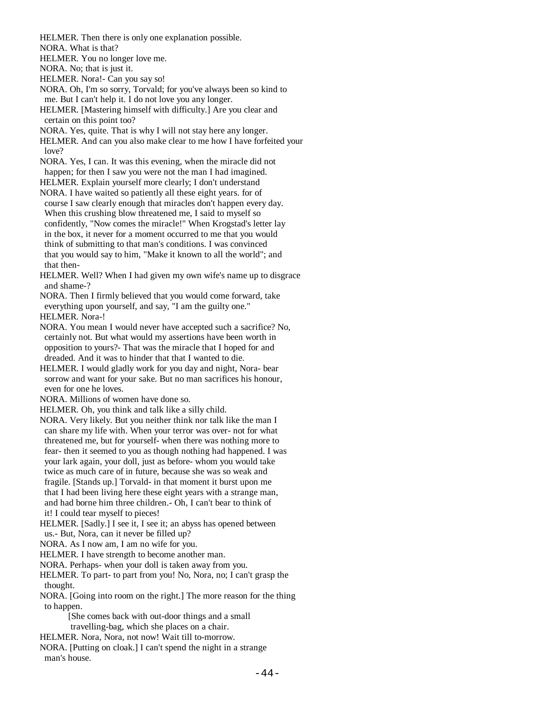HELMER. Then there is only one explanation possible.

NORA. What is that?

HELMER. You no longer love me.

NORA. No; that is just it.

HELMER. Nora!- Can you say so!

- NORA. Oh, I'm so sorry, Torvald; for you've always been so kind to me. But I can't help it. I do not love you any longer.
- HELMER. [Mastering himself with difficulty.] Are you clear and certain on this point too?
- NORA. Yes, quite. That is why I will not stay here any longer.
- HELMER. And can you also make clear to me how I have forfeited your love?
- NORA. Yes, I can. It was this evening, when the miracle did not happen; for then I saw you were not the man I had imagined.
- HELMER. Explain yourself more clearly; I don't understand
- NORA. I have waited so patiently all these eight years. for of course I saw clearly enough that miracles don't happen every day. When this crushing blow threatened me, I said to myself so confidently, "Now comes the miracle!" When Krogstad's letter lay in the box, it never for a moment occurred to me that you would think of submitting to that man's conditions. I was convinced that you would say to him, "Make it known to all the world"; and that then-
- HELMER. Well? When I had given my own wife's name up to disgrace and shame-?
- NORA. Then I firmly believed that you would come forward, take everything upon yourself, and say, "I am the guilty one." HELMER. Nora-!
- NORA. You mean I would never have accepted such a sacrifice? No, certainly not. But what would my assertions have been worth in opposition to yours?- That was the miracle that I hoped for and dreaded. And it was to hinder that that I wanted to die.
- HELMER. I would gladly work for you day and night, Nora- bear sorrow and want for your sake. But no man sacrifices his honour, even for one he loves.
- NORA. Millions of women have done so.
- HELMER. Oh, you think and talk like a silly child.
- NORA. Very likely. But you neither think nor talk like the man I can share my life with. When your terror was over- not for what threatened me, but for yourself- when there was nothing more to fear- then it seemed to you as though nothing had happened. I was your lark again, your doll, just as before- whom you would take twice as much care of in future, because she was so weak and fragile. [Stands up.] Torvald- in that moment it burst upon me that I had been living here these eight years with a strange man, and had borne him three children.- Oh, I can't bear to think of it! I could tear myself to pieces!
- HELMER. [Sadly.] I see it, I see it; an abyss has opened between us.- But, Nora, can it never be filled up?
- NORA. As I now am, I am no wife for you.
- HELMER. I have strength to become another man.
- NORA. Perhaps- when your doll is taken away from you.
- HELMER. To part- to part from you! No, Nora, no; I can't grasp the thought.
- NORA. [Going into room on the right.] The more reason for the thing to happen.
	- [She comes back with out-door things and a small travelling-bag, which she places on a chair.
- HELMER. Nora, Nora, not now! Wait till to-morrow.
- NORA. [Putting on cloak.] I can't spend the night in a strange man's house.